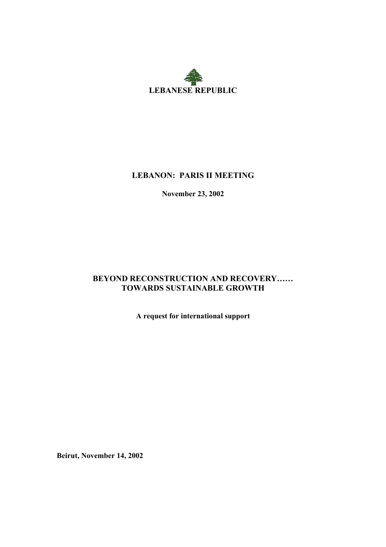

# **LEBANON: PARIS II MEETING**

**November 23, 2002** 

# **BEYOND RECONSTRUCTION AND RECOVERY…… TOWARDS SUSTAINABLE GROWTH**

**A request for international support** 

**Beirut, November 14, 2002**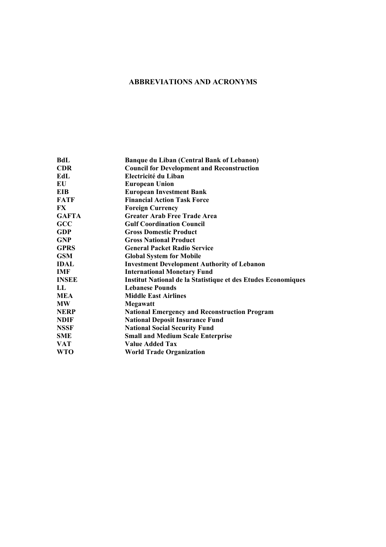# **ABBREVIATIONS AND ACRONYMS**

| BdL          | <b>Banque du Liban (Central Bank of Lebanon)</b>              |
|--------------|---------------------------------------------------------------|
| <b>CDR</b>   | <b>Council for Development and Reconstruction</b>             |
| EdL          | Electricité du Liban                                          |
| EU           | <b>European Union</b>                                         |
| <b>EIB</b>   | <b>European Investment Bank</b>                               |
| <b>FATF</b>  | <b>Financial Action Task Force</b>                            |
| FX.          | <b>Foreign Currency</b>                                       |
| <b>GAFTA</b> | <b>Greater Arab Free Trade Area</b>                           |
| <b>GCC</b>   | <b>Gulf Coordination Council</b>                              |
| <b>GDP</b>   | <b>Gross Domestic Product</b>                                 |
| <b>GNP</b>   | <b>Gross National Product</b>                                 |
| <b>GPRS</b>  | <b>General Packet Radio Service</b>                           |
| <b>GSM</b>   | <b>Global System for Mobile</b>                               |
| <b>IDAL</b>  | <b>Investment Development Authority of Lebanon</b>            |
| <b>IMF</b>   | <b>International Monetary Fund</b>                            |
| <b>INSEE</b> | Institut National de la Statistique et des Etudes Economiques |
| LL           | <b>Lebanese Pounds</b>                                        |
| <b>MEA</b>   | <b>Middle East Airlines</b>                                   |
| <b>MW</b>    | Megawatt                                                      |
| <b>NERP</b>  | <b>National Emergency and Reconstruction Program</b>          |
| <b>NDIF</b>  | <b>National Deposit Insurance Fund</b>                        |
| <b>NSSF</b>  | <b>National Social Security Fund</b>                          |
| <b>SME</b>   | <b>Small and Medium Scale Enterprise</b>                      |
| <b>VAT</b>   | Value Added Tax                                               |
| <b>WTO</b>   | <b>World Trade Organization</b>                               |
|              |                                                               |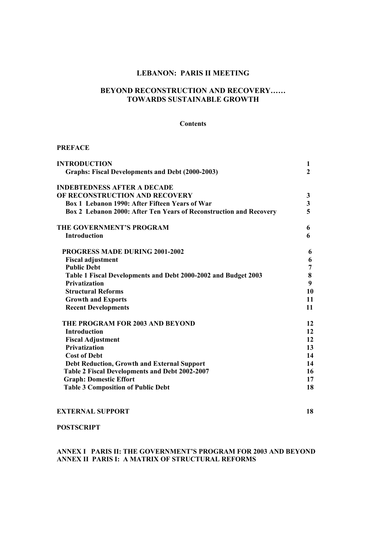## **LEBANON: PARIS II MEETING**

## **BEYOND RECONSTRUCTION AND RECOVERY…… TOWARDS SUSTAINABLE GROWTH**

#### **Contents**

#### **PREFACE**

| <b>INTRODUCTION</b>                                                | 1                       |
|--------------------------------------------------------------------|-------------------------|
| <b>Graphs: Fiscal Developments and Debt (2000-2003)</b>            | $\mathbf{2}$            |
| <b>INDEBTEDNESS AFTER A DECADE</b>                                 |                         |
| OF RECONSTRUCTION AND RECOVERY                                     | 3                       |
| Box 1 Lebanon 1990: After Fifteen Years of War                     | $\overline{\mathbf{3}}$ |
| Box 2 Lebanon 2000: After Ten Years of Reconstruction and Recovery | 5                       |
| THE GOVERNMENT'S PROGRAM                                           | 6                       |
| <b>Introduction</b>                                                | 6                       |
| <b>PROGRESS MADE DURING 2001-2002</b>                              | 6                       |
| <b>Fiscal adjustment</b>                                           | 6                       |
| <b>Public Debt</b>                                                 | 7                       |
| Table 1 Fiscal Developments and Debt 2000-2002 and Budget 2003     | 8                       |
| <b>Privatization</b>                                               | 9                       |
| <b>Structural Reforms</b>                                          | 10                      |
| <b>Growth and Exports</b>                                          | 11                      |
| <b>Recent Developments</b>                                         | 11                      |
| THE PROGRAM FOR 2003 AND BEYOND                                    | 12                      |
| <b>Introduction</b>                                                | 12                      |
| <b>Fiscal Adjustment</b>                                           | 12                      |
| <b>Privatization</b>                                               | 13                      |
| <b>Cost of Debt</b>                                                | 14                      |
| <b>Debt Reduction, Growth and External Support</b>                 | 14                      |
| Table 2 Fiscal Developments and Debt 2002-2007                     | 16                      |
| <b>Graph: Domestic Effort</b>                                      | 17                      |
| <b>Table 3 Composition of Public Debt</b>                          | 18                      |

#### **EXTERNAL SUPPORT** 18

#### **POSTSCRIPT**

#### **ANNEX I PARIS II: THE GOVERNMENT'S PROGRAM FOR 2003 AND BEYOND ANNEX II PARIS I: A MATRIX OF STRUCTURAL REFORMS**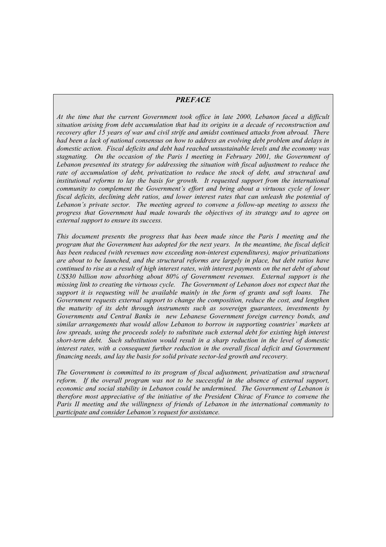#### *PREFACE*

*At the time that the current Government took office in late 2000, Lebanon faced a difficult situation arising from debt accumulation that had its origins in a decade of reconstruction and recovery after 15 years of war and civil strife and amidst continued attacks from abroad. There had been a lack of national consensus on how to address an evolving debt problem and delays in domestic action. Fiscal deficits and debt had reached unsustainable levels and the economy was stagnating. On the occasion of the Paris I meeting in February 2001, the Government of Lebanon presented its strategy for addressing the situation with fiscal adjustment to reduce the rate of accumulation of debt, privatization to reduce the stock of debt, and structural and institutional reforms to lay the basis for growth. It requested support from the international community to complement the Government's effort and bring about a virtuous cycle of lower fiscal deficits, declining debt ratios, and lower interest rates that can unleash the potential of Lebanon's private sector. The meeting agreed to convene a follow-up meeting to assess the progress that Government had made towards the objectives of its strategy and to agree on external support to ensure its success.* 

*This document presents the progress that has been made since the Paris I meeting and the program that the Government has adopted for the next years. In the meantime, the fiscal deficit has been reduced (with revenues now exceeding non-interest expenditures), major privatizations are about to be launched, and the structural reforms are largely in place, but debt ratios have continued to rise as a result of high interest rates, with interest payments on the net debt of about US\$30 billion now absorbing about 80% of Government revenues. External support is the missing link to creating the virtuous cycle. The Government of Lebanon does not expect that the support it is requesting will be available mainly in the form of grants and soft loans. The Government requests external support to change the composition, reduce the cost, and lengthen the maturity of its debt through instruments such as sovereign guarantees, investments by Governments and Central Banks in new Lebanese Government foreign currency bonds, and similar arrangements that would allow Lebanon to borrow in supporting countries' markets at low spreads, using the proceeds solely to substitute such external debt for existing high interest short-term debt. Such substitution would result in a sharp reduction in the level of domestic interest rates, with a consequent further reduction in the overall fiscal deficit and Government financing needs, and lay the basis for solid private sector-led growth and recovery.* 

*The Government is committed to its program of fiscal adjustment, privatization and structural reform. If the overall program was not to be successful in the absence of external support, economic and social stability in Lebanon could be undermined. The Government of Lebanon is therefore most appreciative of the initiative of the President Chirac of France to convene the Paris II meeting and the willingness of friends of Lebanon in the international community to participate and consider Lebanon's request for assistance.*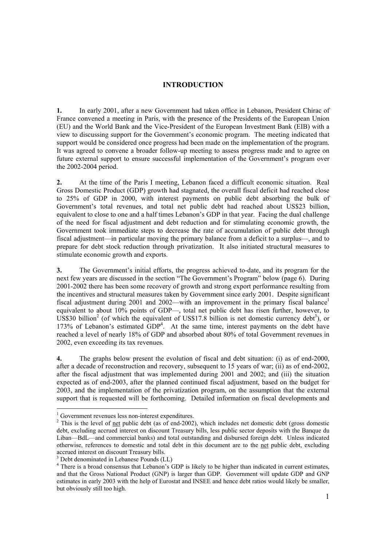## **INTRODUCTION**

**1.** In early 2001, after a new Government had taken office in Lebanon, President Chirac of France convened a meeting in Paris, with the presence of the Presidents of the European Union (EU) and the World Bank and the Vice-President of the European Investment Bank (EIB) with a view to discussing support for the Government's economic program. The meeting indicated that support would be considered once progress had been made on the implementation of the program. It was agreed to convene a broader follow-up meeting to assess progress made and to agree on future external support to ensure successful implementation of the Government's program over the 2002-2004 period.

**2.** At the time of the Paris I meeting, Lebanon faced a difficult economic situation. Real Gross Domestic Product (GDP) growth had stagnated, the overall fiscal deficit had reached close to 25% of GDP in 2000, with interest payments on public debt absorbing the bulk of Government's total revenues, and total net public debt had reached about US\$23 billion, equivalent to close to one and a half times Lebanon's GDP in that year. Facing the dual challenge of the need for fiscal adjustment and debt reduction and for stimulating economic growth, the Government took immediate steps to decrease the rate of accumulation of public debt through fiscal adjustment—in particular moving the primary balance from a deficit to a surplus—, and to prepare for debt stock reduction through privatization. It also initiated structural measures to stimulate economic growth and exports.

**3.** The Government's initial efforts, the progress achieved to-date, and its program for the next few years are discussed in the section "The Government's Program" below (page 6). During 2001-2002 there has been some recovery of growth and strong export performance resulting from the incentives and structural measures taken by Government since early 2001. Despite significant fiscal adjustment during 2001 and 2002—with an improvement in the primary fiscal balance<sup>1</sup> equivalent to about 10% points of GDP—, total net public debt has risen further, however, to US\$30 billion<sup>2</sup> (of which the equivalent of US\$17.8 billion is net domestic currency debt<sup>3</sup>), or 173% of Lebanon's estimated GDP<sup>4</sup>. At the same time, interest payments on the debt have reached a level of nearly 18% of GDP and absorbed about 80% of total Government revenues in 2002, even exceeding its tax revenues.

**4.** The graphs below present the evolution of fiscal and debt situation: (i) as of end-2000, after a decade of reconstruction and recovery, subsequent to 15 years of war; (ii) as of end-2002, after the fiscal adjustment that was implemented during 2001 and 2002; and (iii) the situation expected as of end-2003, after the planned continued fiscal adjustment, based on the budget for 2003, and the implementation of the privatization program, on the assumption that the external support that is requested will be forthcoming. Detailed information on fiscal developments and

 1 Government revenues less non-interest expenditures.

<sup>&</sup>lt;sup>2</sup> This is the level of <u>net</u> public debt (as of end-2002), which includes net domestic debt (gross domestic debt, excluding accrued interest on discount Treasury bills, less public sector deposits with the Banque du Liban—BdL—and commercial banks) and total outstanding and disbursed foreign debt. Unless indicated otherwise, references to domestic and total debt in this document are to the net public debt, excluding accrued interest on discount Treasury bills.

<sup>&</sup>lt;sup>3</sup> Debt denominated in Lebanese Pounds (LL)

<sup>&</sup>lt;sup>4</sup> There is a broad consensus that Lebanon's GDP is likely to be higher than indicated in current estimates, and that the Gross National Product (GNP) is larger than GDP. Government will update GDP and GNP estimates in early 2003 with the help of Eurostat and INSEE and hence debt ratios would likely be smaller, but obviously still too high.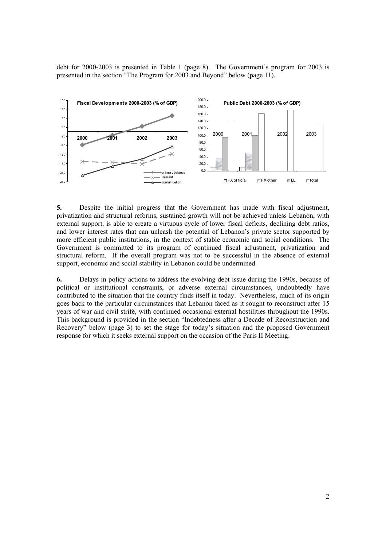debt for 2000-2003 is presented in Table 1 (page 8). The Government's program for 2003 is presented in the section "The Program for 2003 and Beyond" below (page 11).



**5.** Despite the initial progress that the Government has made with fiscal adjustment, privatization and structural reforms, sustained growth will not be achieved unless Lebanon, with external support, is able to create a virtuous cycle of lower fiscal deficits, declining debt ratios, and lower interest rates that can unleash the potential of Lebanon's private sector supported by more efficient public institutions, in the context of stable economic and social conditions. The Government is committed to its program of continued fiscal adjustment, privatization and structural reform. If the overall program was not to be successful in the absence of external support, economic and social stability in Lebanon could be undermined.

**6.** Delays in policy actions to address the evolving debt issue during the 1990s, because of political or institutional constraints, or adverse external circumstances, undoubtedly have contributed to the situation that the country finds itself in today. Nevertheless, much of its origin goes back to the particular circumstances that Lebanon faced as it sought to reconstruct after 15 years of war and civil strife, with continued occasional external hostilities throughout the 1990s. This background is provided in the section "Indebtedness after a Decade of Reconstruction and Recovery" below (page 3) to set the stage for today's situation and the proposed Government response for which it seeks external support on the occasion of the Paris II Meeting.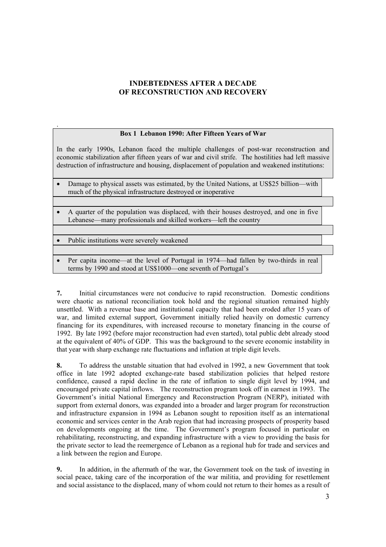## **INDEBTEDNESS AFTER A DECADE OF RECONSTRUCTION AND RECOVERY**

#### **Box 1 Lebanon 1990: After Fifteen Years of War**

In the early 1990s, Lebanon faced the multiple challenges of post-war reconstruction and economic stabilization after fifteen years of war and civil strife. The hostilities had left massive destruction of infrastructure and housing, displacement of population and weakened institutions:

- Damage to physical assets was estimated, by the United Nations, at US\$25 billion—with much of the physical infrastructure destroyed or inoperative
- A quarter of the population was displaced, with their houses destroyed, and one in five Lebanese—many professionals and skilled workers—left the country
- Public institutions were severely weakened

.

• Per capita income—at the level of Portugal in 1974—had fallen by two-thirds in real terms by 1990 and stood at US\$1000—one seventh of Portugal's

**7.** Initial circumstances were not conducive to rapid reconstruction. Domestic conditions were chaotic as national reconciliation took hold and the regional situation remained highly unsettled. With a revenue base and institutional capacity that had been eroded after 15 years of war, and limited external support, Government initially relied heavily on domestic currency financing for its expenditures, with increased recourse to monetary financing in the course of 1992. By late 1992 (before major reconstruction had even started), total public debt already stood at the equivalent of 40% of GDP. This was the background to the severe economic instability in that year with sharp exchange rate fluctuations and inflation at triple digit levels.

**8.** To address the unstable situation that had evolved in 1992, a new Government that took office in late 1992 adopted exchange-rate based stabilization policies that helped restore confidence, caused a rapid decline in the rate of inflation to single digit level by 1994, and encouraged private capital inflows. The reconstruction program took off in earnest in 1993. The Government's initial National Emergency and Reconstruction Program (NERP), initiated with support from external donors, was expanded into a broader and larger program for reconstruction and infrastructure expansion in 1994 as Lebanon sought to reposition itself as an international economic and services center in the Arab region that had increasing prospects of prosperity based on developments ongoing at the time. The Government's program focused in particular on rehabilitating, reconstructing, and expanding infrastructure with a view to providing the basis for the private sector to lead the reemergence of Lebanon as a regional hub for trade and services and a link between the region and Europe.

**9.** In addition, in the aftermath of the war, the Government took on the task of investing in social peace, taking care of the incorporation of the war militia, and providing for resettlement and social assistance to the displaced, many of whom could not return to their homes as a result of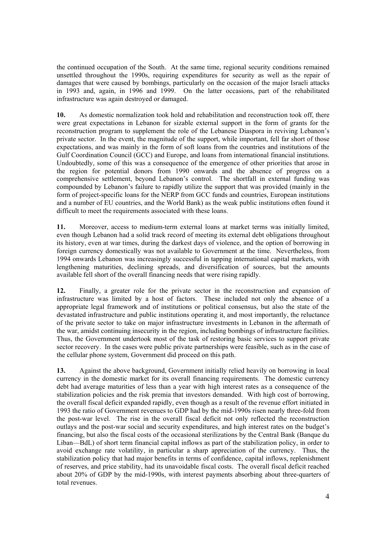the continued occupation of the South. At the same time, regional security conditions remained unsettled throughout the 1990s, requiring expenditures for security as well as the repair of damages that were caused by bombings, particularly on the occasion of the major Israeli attacks in 1993 and, again, in 1996 and 1999. On the latter occasions, part of the rehabilitated infrastructure was again destroyed or damaged.

**10.** As domestic normalization took hold and rehabilitation and reconstruction took off, there were great expectations in Lebanon for sizable external support in the form of grants for the reconstruction program to supplement the role of the Lebanese Diaspora in reviving Lebanon's private sector. In the event, the magnitude of the support, while important, fell far short of those expectations, and was mainly in the form of soft loans from the countries and institutions of the Gulf Coordination Council (GCC) and Europe, and loans from international financial institutions. Undoubtedly, some of this was a consequence of the emergence of other priorities that arose in the region for potential donors from 1990 onwards and the absence of progress on a comprehensive settlement, beyond Lebanon's control. The shortfall in external funding was compounded by Lebanon's failure to rapidly utilize the support that was provided (mainly in the form of project-specific loans for the NERP from GCC funds and countries, European institutions and a number of EU countries, and the World Bank) as the weak public institutions often found it difficult to meet the requirements associated with these loans.

**11.** Moreover, access to medium-term external loans at market terms was initially limited, even though Lebanon had a solid track record of meeting its external debt obligations throughout its history, even at war times, during the darkest days of violence, and the option of borrowing in foreign currency domestically was not available to Government at the time. Nevertheless, from 1994 onwards Lebanon was increasingly successful in tapping international capital markets, with lengthening maturities, declining spreads, and diversification of sources, but the amounts available fell short of the overall financing needs that were rising rapidly.

**12.** Finally, a greater role for the private sector in the reconstruction and expansion of infrastructure was limited by a host of factors. These included not only the absence of a appropriate legal framework and of institutions or political consensus, but also the state of the devastated infrastructure and public institutions operating it, and most importantly, the reluctance of the private sector to take on major infrastructure investments in Lebanon in the aftermath of the war, amidst continuing insecurity in the region, including bombings of infrastructure facilities. Thus, the Government undertook most of the task of restoring basic services to support private sector recovery. In the cases were public private partnerships were feasible, such as in the case of the cellular phone system, Government did proceed on this path.

**13.** Against the above background, Government initially relied heavily on borrowing in local currency in the domestic market for its overall financing requirements. The domestic currency debt had average maturities of less than a year with high interest rates as a consequence of the stabilization policies and the risk premia that investors demanded. With high cost of borrowing, the overall fiscal deficit expanded rapidly, even though as a result of the revenue effort initiated in 1993 the ratio of Government revenues to GDP had by the mid-1990s risen nearly three-fold from the post-war level. The rise in the overall fiscal deficit not only reflected the reconstruction outlays and the post-war social and security expenditures, and high interest rates on the budget's financing, but also the fiscal costs of the occasional sterilizations by the Central Bank (Banque du Liban—BdL) of short term financial capital inflows as part of the stabilization policy, in order to avoid exchange rate volatility, in particular a sharp appreciation of the currency. Thus, the stabilization policy that had major benefits in terms of confidence, capital inflows, replenishment of reserves, and price stability, had its unavoidable fiscal costs. The overall fiscal deficit reached about 20% of GDP by the mid-1990s, with interest payments absorbing about three-quarters of total revenues.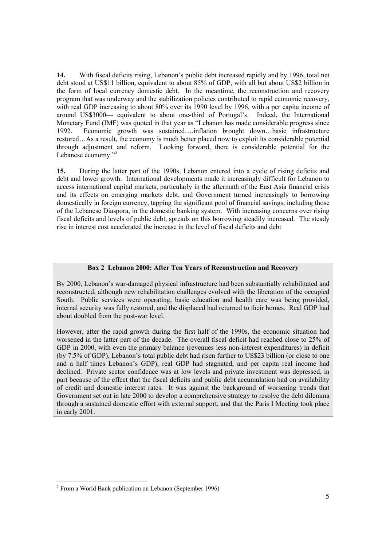**14.** With fiscal deficits rising, Lebanon's public debt increased rapidly and by 1996, total net debt stood at US\$11 billion, equivalent to about 85% of GDP, with all but about US\$2 billion in the form of local currency domestic debt. In the meantime, the reconstruction and recovery program that was underway and the stabilization policies contributed to rapid economic recovery, with real GDP increasing to about 80% over its 1990 level by 1996, with a per capita income of around US\$3000— equivalent to about one-third of Portugal's. Indeed, the International Monetary Fund (IMF) was quoted in that year as "Lebanon has made considerable progress since 1992. Economic growth was sustained….inflation brought down…basic infrastructure restored…As a result, the economy is much better placed now to exploit its considerable potential through adjustment and reform. Looking forward, there is considerable potential for the Lebanese economy."<sup>5</sup>

**15.** During the latter part of the 1990s, Lebanon entered into a cycle of rising deficits and debt and lower growth. International developments made it increasingly difficult for Lebanon to access international capital markets, particularly in the aftermath of the East Asia financial crisis and its effects on emerging markets debt, and Government turned increasingly to borrowing domestically in foreign currency, tapping the significant pool of financial savings, including those of the Lebanese Diaspora, in the domestic banking system. With increasing concerns over rising fiscal deficits and levels of public debt, spreads on this borrowing steadily increased. The steady rise in interest cost accelerated the increase in the level of fiscal deficits and debt

#### **Box 2 Lebanon 2000: After Ten Years of Reconstruction and Recovery**

By 2000, Lebanon's war-damaged physical infrastructure had been substantially rehabilitated and reconstructed, although new rehabilitation challenges evolved with the liberation of the occupied South. Public services were operating, basic education and health care was being provided, internal security was fully restored, and the displaced had returned to their homes. Real GDP had about doubled from the post-war level.

However, after the rapid growth during the first half of the 1990s, the economic situation had worsened in the latter part of the decade. The overall fiscal deficit had reached close to 25% of GDP in 2000, with even the primary balance (revenues less non-interest expenditures) in deficit (by 7.5% of GDP), Lebanon's total public debt had risen further to US\$23 billion (or close to one and a half times Lebanon's GDP), real GDP had stagnated, and per capita real income had declined. Private sector confidence was at low levels and private investment was depressed, in part because of the effect that the fiscal deficits and public debt accumulation had on availability of credit and domestic interest rates. It was against the background of worsening trends that Government set out in late 2000 to develop a comprehensive strategy to resolve the debt dilemma through a sustained domestic effort with external support, and that the Paris I Meeting took place in early 2001.

 <sup>5</sup> From a World Bank publication on Lebanon (September 1996)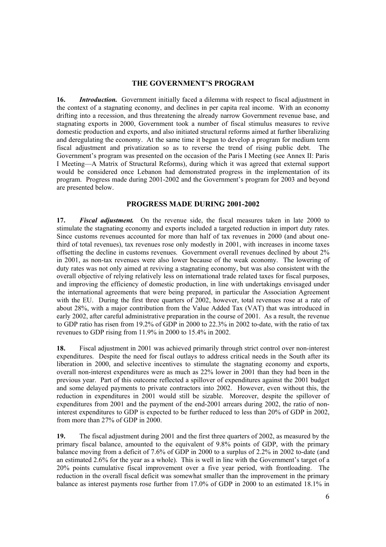#### **THE GOVERNMENT'S PROGRAM**

**16.** *Introduction.* Government initially faced a dilemma with respect to fiscal adjustment in the context of a stagnating economy, and declines in per capita real income. With an economy drifting into a recession, and thus threatening the already narrow Government revenue base, and stagnating exports in 2000, Government took a number of fiscal stimulus measures to revive domestic production and exports, and also initiated structural reforms aimed at further liberalizing and deregulating the economy. At the same time it began to develop a program for medium term fiscal adjustment and privatization so as to reverse the trend of rising public debt. The Government's program was presented on the occasion of the Paris I Meeting (see Annex II: Paris I Meeting—A Matrix of Structural Reforms), during which it was agreed that external support would be considered once Lebanon had demonstrated progress in the implementation of its program. Progress made during 2001-2002 and the Government's program for 2003 and beyond are presented below.

#### **PROGRESS MADE DURING 2001-2002**

**17.** *Fiscal adjustment.* On the revenue side, the fiscal measures taken in late 2000 to stimulate the stagnating economy and exports included a targeted reduction in import duty rates. Since customs revenues accounted for more than half of tax revenues in 2000 (and about onethird of total revenues), tax revenues rose only modestly in 2001, with increases in income taxes offsetting the decline in customs revenues. Government overall revenues declined by about 2% in 2001, as non-tax revenues were also lower because of the weak economy. The lowering of duty rates was not only aimed at reviving a stagnating economy, but was also consistent with the overall objective of relying relatively less on international trade related taxes for fiscal purposes, and improving the efficiency of domestic production, in line with undertakings envisaged under the international agreements that were being prepared, in particular the Association Agreement with the EU. During the first three quarters of 2002, however, total revenues rose at a rate of about 28%, with a major contribution from the Value Added Tax (VAT) that was introduced in early 2002, after careful administrative preparation in the course of 2001. As a result, the revenue to GDP ratio has risen from 19.2% of GDP in 2000 to 22.3% in 2002 to-date, with the ratio of tax revenues to GDP rising from 11.9% in 2000 to 15.4% in 2002.

**18.** Fiscal adjustment in 2001 was achieved primarily through strict control over non-interest expenditures. Despite the need for fiscal outlays to address critical needs in the South after its liberation in 2000, and selective incentives to stimulate the stagnating economy and exports, overall non-interest expenditures were as much as 22% lower in 2001 than they had been in the previous year. Part of this outcome reflected a spillover of expenditures against the 2001 budget and some delayed payments to private contractors into 2002. However, even without this, the reduction in expenditures in 2001 would still be sizable. Moreover, despite the spillover of expenditures from 2001 and the payment of the end-2001 arrears during 2002, the ratio of noninterest expenditures to GDP is expected to be further reduced to less than 20% of GDP in 2002, from more than 27% of GDP in 2000.

**19.** The fiscal adjustment during 2001 and the first three quarters of 2002, as measured by the primary fiscal balance, amounted to the equivalent of 9.8% points of GDP, with the primary balance moving from a deficit of 7.6% of GDP in 2000 to a surplus of 2.2% in 2002 to-date (and an estimated 2.6% for the year as a whole). This is well in line with the Government's target of a 20% points cumulative fiscal improvement over a five year period, with frontloading. The reduction in the overall fiscal deficit was somewhat smaller than the improvement in the primary balance as interest payments rose further from 17.0% of GDP in 2000 to an estimated 18.1% in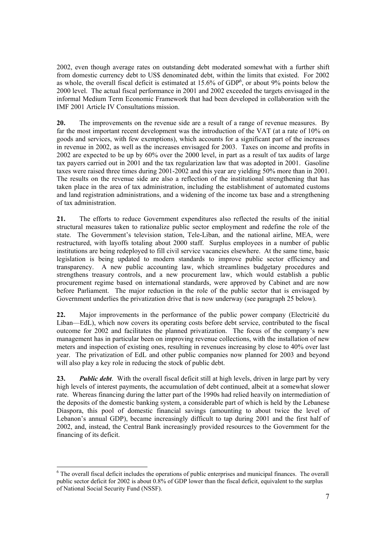2002, even though average rates on outstanding debt moderated somewhat with a further shift from domestic currency debt to US\$ denominated debt, within the limits that existed. For 2002 as whole, the overall fiscal deficit is estimated at  $15.6\%$  of GDP<sup>6</sup>, or about 9% points below the 2000 level. The actual fiscal performance in 2001 and 2002 exceeded the targets envisaged in the informal Medium Term Economic Framework that had been developed in collaboration with the IMF 2001 Article IV Consultations mission.

**20.** The improvements on the revenue side are a result of a range of revenue measures. By far the most important recent development was the introduction of the VAT (at a rate of 10% on goods and services, with few exemptions), which accounts for a significant part of the increases in revenue in 2002, as well as the increases envisaged for 2003. Taxes on income and profits in 2002 are expected to be up by 60% over the 2000 level, in part as a result of tax audits of large tax payers carried out in 2001 and the tax regularization law that was adopted in 2001. Gasoline taxes were raised three times during 2001-2002 and this year are yielding 50% more than in 2001. The results on the revenue side are also a reflection of the institutional strengthening that has taken place in the area of tax administration, including the establishment of automated customs and land registration administrations, and a widening of the income tax base and a strengthening of tax administration.

**21.** The efforts to reduce Government expenditures also reflected the results of the initial structural measures taken to rationalize public sector employment and redefine the role of the state. The Government's television station, Tele-Liban, and the national airline, MEA, were restructured, with layoffs totaling about 2000 staff. Surplus employees in a number of public institutions are being redeployed to fill civil service vacancies elsewhere. At the same time, basic legislation is being updated to modern standards to improve public sector efficiency and transparency. A new public accounting law, which streamlines budgetary procedures and strengthens treasury controls, and a new procurement law, which would establish a public procurement regime based on international standards, were approved by Cabinet and are now before Parliament. The major reduction in the role of the public sector that is envisaged by Government underlies the privatization drive that is now underway (see paragraph 25 below).

**22.** Major improvements in the performance of the public power company (Electricité du Liban—EdL), which now covers its operating costs before debt service, contributed to the fiscal outcome for 2002 and facilitates the planned privatization. The focus of the company's new management has in particular been on improving revenue collections, with the installation of new meters and inspection of existing ones, resulting in revenues increasing by close to 40% over last year. The privatization of EdL and other public companies now planned for 2003 and beyond will also play a key role in reducing the stock of public debt.

**23.** *Public debt*. With the overall fiscal deficit still at high levels, driven in large part by very high levels of interest payments, the accumulation of debt continued, albeit at a somewhat slower rate. Whereas financing during the latter part of the 1990s had relied heavily on intermediation of the deposits of the domestic banking system, a considerable part of which is held by the Lebanese Diaspora, this pool of domestic financial savings (amounting to about twice the level of Lebanon's annual GDP), became increasingly difficult to tap during 2001 and the first half of 2002, and, instead, the Central Bank increasingly provided resources to the Government for the financing of its deficit.

 <sup>6</sup> The overall fiscal deficit includes the operations of public enterprises and municipal finances. The overall public sector deficit for 2002 is about 0.8% of GDP lower than the fiscal deficit, equivalent to the surplus of National Social Security Fund (NSSF).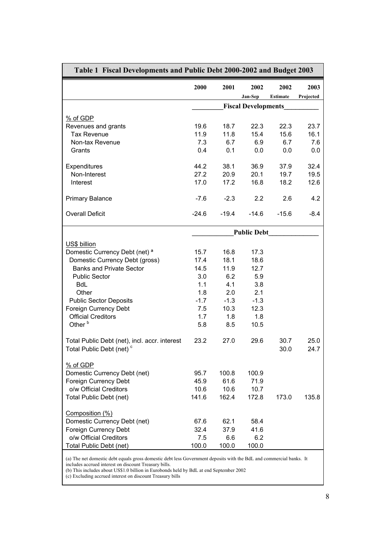| Table 1 Fiscal Developments and Public Debt 2000-2002 and Budget 2003 |             |             |                            |                 |            |
|-----------------------------------------------------------------------|-------------|-------------|----------------------------|-----------------|------------|
|                                                                       | 2000        | 2001        | 2002                       | 2002            | 2003       |
|                                                                       |             |             | Jan-Sep                    | <b>Estimate</b> | Projected  |
|                                                                       |             |             | <b>Fiscal Developments</b> |                 |            |
| % of GDP                                                              |             |             |                            |                 |            |
| Revenues and grants                                                   | 19.6        | 18.7        | 22.3                       | 22.3            | 23.7       |
| <b>Tax Revenue</b>                                                    | 11.9<br>7.3 | 11.8<br>6.7 | 15.4<br>6.9                | 15.6<br>6.7     | 16.1       |
| Non-tax Revenue<br>Grants                                             | 0.4         | 0.1         | 0.0                        | 0.0             | 7.6<br>0.0 |
|                                                                       |             |             |                            |                 |            |
| Expenditures                                                          | 44.2        | 38.1        | 36.9                       | 37.9            | 32.4       |
| Non-Interest                                                          | 27.2        | 20.9        | 20.1                       | 19.7            | 19.5       |
| Interest                                                              | 17.0        | 17.2        | 16.8                       | 18.2            | 12.6       |
|                                                                       |             |             |                            |                 |            |
| <b>Primary Balance</b>                                                | $-7.6$      | $-2.3$      | 2.2                        | 2.6             | 4.2        |
| <b>Overall Deficit</b>                                                | $-24.6$     | $-19.4$     | $-14.6$                    | $-15.6$         | $-8.4$     |
|                                                                       |             |             |                            |                 |            |
|                                                                       |             |             | <b>Public Debt</b>         |                 |            |
| US\$ billion                                                          |             |             |                            |                 |            |
| Domestic Currency Debt (net) <sup>a</sup>                             | 15.7        | 16.8        | 17.3                       |                 |            |
| Domestic Currency Debt (gross)                                        | 17.4        | 18.1        | 18.6                       |                 |            |
| <b>Banks and Private Sector</b>                                       | 14.5        | 11.9        | 12.7                       |                 |            |
| <b>Public Sector</b>                                                  | 3.0         | 6.2         | 5.9                        |                 |            |
| <b>BdL</b>                                                            | 1.1         | 4.1         | 3.8                        |                 |            |
| Other                                                                 | 1.8         | 2.0         | 2.1                        |                 |            |
| <b>Public Sector Deposits</b>                                         | $-1.7$      | $-1.3$      | $-1.3$                     |                 |            |
| Foreign Currency Debt                                                 | 7.5         | 10.3        | 12.3                       |                 |            |
| <b>Official Creditors</b>                                             | 1.7         | 1.8         | 1.8                        |                 |            |
| Other <sup>b</sup>                                                    | 5.8         | 8.5         | 10.5                       |                 |            |
| Total Public Debt (net), incl. accr. interest                         | 23.2        | 27.0        | 29.6                       | 30.7            | 25.0       |
| Total Public Debt (net) <sup>c</sup>                                  |             |             |                            | 30.0            | 24.7       |
| $%$ of GDP                                                            |             |             |                            |                 |            |
| Domestic Currency Debt (net)                                          | 95.7        | 100.8       | 100.9                      |                 |            |
| Foreign Currency Debt                                                 | 45.9        | 61.6        | 71.9                       |                 |            |
| o/w Official Creditors                                                | 10.6        | 10.6        | 10.7                       |                 |            |
| Total Public Debt (net)                                               | 141.6       | 162.4       | 172.8                      | 173.0           | 135.8      |
|                                                                       |             |             |                            |                 |            |
| Composition (%)<br>Domestic Currency Debt (net)                       | 67.6        | 62.1        | 58.4                       |                 |            |
| Foreign Currency Debt                                                 | 32.4        | 37.9        | 41.6                       |                 |            |
| o/w Official Creditors                                                | 7.5         | 6.6         | 6.2                        |                 |            |
| Total Public Debt (net)                                               | 100.0       | 100.0       | 100.0                      |                 |            |

(a) The net domestic debt equals gross domestic debt less Government deposits with the BdL and commercial banks. It includes accrued interest on discount Treasury bills.

(b) This includes about US\$1.0 billion in Eurobonds held by BdL at end September 2002

(c) Excluding accrued interest on discount Treasury bills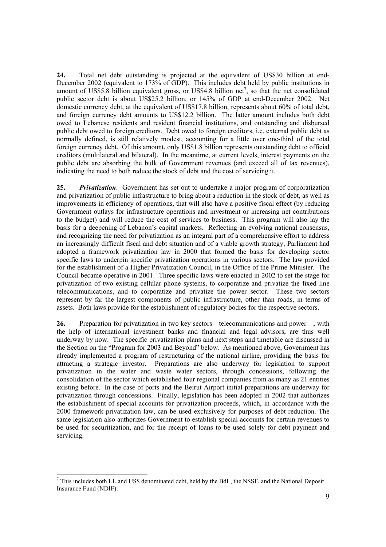**24.** Total net debt outstanding is projected at the equivalent of US\$30 billion at end-December 2002 (equivalent to 173% of GDP). This includes debt held by public institutions in amount of US\$5.8 billion equivalent gross, or US\$4.8 billion net<sup>7</sup>, so that the net consolidated public sector debt is about US\$25.2 billion, or 145% of GDP at end-December 2002. Net domestic currency debt, at the equivalent of US\$17.8 billion, represents about 60% of total debt, and foreign currency debt amounts to US\$12.2 billion. The latter amount includes both debt owed to Lebanese residents and resident financial institutions, and outstanding and disbursed public debt owed to foreign creditors. Debt owed to foreign creditors, i.e. external public debt as normally defined, is still relatively modest, accounting for a little over one-third of the total foreign currency debt. Of this amount, only US\$1.8 billion represents outstanding debt to official creditors (multilateral and bilateral). In the meantime, at current levels, interest payments on the public debt are absorbing the bulk of Government revenues (and exceed all of tax revenues), indicating the need to both reduce the stock of debt and the cost of servicing it.

**25.** *Privatization*. Government has set out to undertake a major program of corporatization and privatization of public infrastructure to bring about a reduction in the stock of debt, as well as improvements in efficiency of operations, that will also have a positive fiscal effect (by reducing Government outlays for infrastructure operations and investment or increasing net contributions to the budget) and will reduce the cost of services to business. This program will also lay the basis for a deepening of Lebanon's capital markets. Reflecting an evolving national consensus, and recognizing the need for privatization as an integral part of a comprehensive effort to address an increasingly difficult fiscal and debt situation and of a viable growth strategy, Parliament had adopted a framework privatization law in 2000 that formed the basis for developing sector specific laws to underpin specific privatization operations in various sectors. The law provided for the establishment of a Higher Privatization Council, in the Office of the Prime Minister. The Council became operative in 2001. Three specific laws were enacted in 2002 to set the stage for privatization of two existing cellular phone systems, to corporatize and privatize the fixed line telecommunications, and to corporatize and privatize the power sector. These two sectors represent by far the largest components of public infrastructure, other than roads, in terms of assets. Both laws provide for the establishment of regulatory bodies for the respective sectors.

**26.** Preparation for privatization in two key sectors—telecommunications and power—, with the help of international investment banks and financial and legal advisors, are thus well underway by now. The specific privatization plans and next steps and timetable are discussed in the Section on the "Program for 2003 and Beyond" below. As mentioned above, Government has already implemented a program of restructuring of the national airline, providing the basis for attracting a strategic investor. Preparations are also underway for legislation to support privatization in the water and waste water sectors, through concessions, following the consolidation of the sector which established four regional companies from as many as 21 entities existing before. In the case of ports and the Beirut Airport initial preparations are underway for privatization through concessions. Finally, legislation has been adopted in 2002 that authorizes the establishment of special accounts for privatization proceeds, which, in accordance with the 2000 framework privatization law, can be used exclusively for purposes of debt reduction. The same legislation also authorizes Government to establish special accounts for certain revenues to be used for securitization, and for the receipt of loans to be used solely for debt payment and servicing.

 $\overline{\phantom{a}}$  $^7$  This includes both LL and US\$ denominated debt, held by the BdL, the NSSF, and the National Deposit Insurance Fund (NDIF).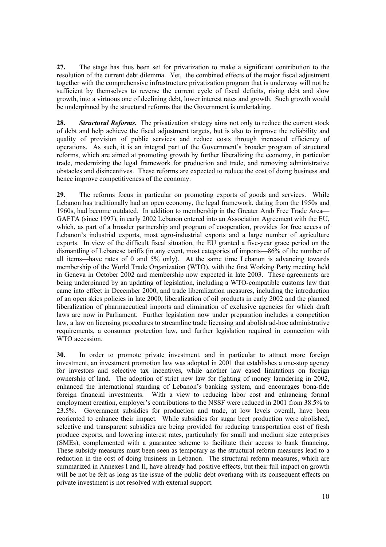**27.** The stage has thus been set for privatization to make a significant contribution to the resolution of the current debt dilemma. Yet, the combined effects of the major fiscal adjustment together with the comprehensive infrastructure privatization program that is underway will not be sufficient by themselves to reverse the current cycle of fiscal deficits, rising debt and slow growth, into a virtuous one of declining debt, lower interest rates and growth. Such growth would be underpinned by the structural reforms that the Government is undertaking.

**28.** *Structural Reforms.* The privatization strategy aims not only to reduce the current stock of debt and help achieve the fiscal adjustment targets, but is also to improve the reliability and quality of provision of public services and reduce costs through increased efficiency of operations. As such, it is an integral part of the Government's broader program of structural reforms, which are aimed at promoting growth by further liberalizing the economy, in particular trade, modernizing the legal framework for production and trade, and removing administrative obstacles and disincentives. These reforms are expected to reduce the cost of doing business and hence improve competitiveness of the economy.

**29.** The reforms focus in particular on promoting exports of goods and services. While Lebanon has traditionally had an open economy, the legal framework, dating from the 1950s and 1960s, had become outdated. In addition to membership in the Greater Arab Free Trade Area— GAFTA (since 1997), in early 2002 Lebanon entered into an Association Agreement with the EU, which, as part of a broader partnership and program of cooperation, provides for free access of Lebanon's industrial exports, most agro-industrial exports and a large number of agriculture exports. In view of the difficult fiscal situation, the EU granted a five-year grace period on the dismantling of Lebanese tariffs (in any event, most categories of imports—86% of the number of all items—have rates of 0 and 5% only). At the same time Lebanon is advancing towards membership of the World Trade Organization (WTO), with the first Working Party meeting held in Geneva in October 2002 and membership now expected in late 2003. These agreements are being underpinned by an updating of legislation, including a WTO-compatible customs law that came into effect in December 2000, and trade liberalization measures, including the introduction of an open skies policies in late 2000, liberalization of oil products in early 2002 and the planned liberalization of pharmaceutical imports and elimination of exclusive agencies for which draft laws are now in Parliament. Further legislation now under preparation includes a competition law, a law on licensing procedures to streamline trade licensing and abolish ad-hoc administrative requirements, a consumer protection law, and further legislation required in connection with WTO accession.

**30.** In order to promote private investment, and in particular to attract more foreign investment, an investment promotion law was adopted in 2001 that establishes a one-stop agency for investors and selective tax incentives, while another law eased limitations on foreign ownership of land. The adoption of strict new law for fighting of money laundering in 2002, enhanced the international standing of Lebanon's banking system, and encourages bona-fide foreign financial investments. With a view to reducing labor cost and enhancing formal employment creation, employer's contributions to the NSSF were reduced in 2001 from 38.5% to 23.5%. Government subsidies for production and trade, at low levels overall, have been reoriented to enhance their impact. While subsidies for sugar beet production were abolished, selective and transparent subsidies are being provided for reducing transportation cost of fresh produce exports, and lowering interest rates, particularly for small and medium size enterprises (SMEs), complemented with a guarantee scheme to facilitate their access to bank financing. These subsidy measures must been seen as temporary as the structural reform measures lead to a reduction in the cost of doing business in Lebanon. The structural reform measures, which are summarized in Annexes I and II, have already had positive effects, but their full impact on growth will be not be felt as long as the issue of the public debt overhang with its consequent effects on private investment is not resolved with external support.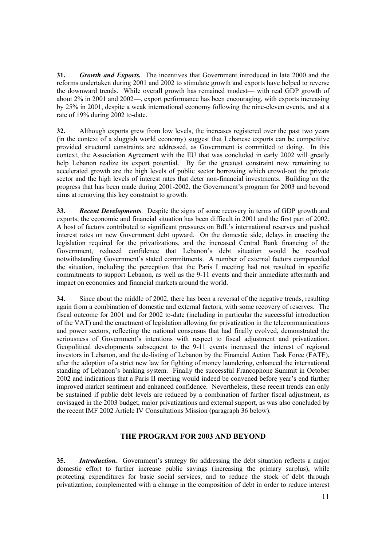**31.** *Growth and Exports.* The incentives that Government introduced in late 2000 and the reforms undertaken during 2001 and 2002 to stimulate growth and exports have helped to reverse the downward trends. While overall growth has remained modest— with real GDP growth of about 2% in 2001 and 2002—, export performance has been encouraging, with exports increasing by 25% in 2001, despite a weak international economy following the nine-eleven events, and at a rate of 19% during 2002 to-date.

**32.** Although exports grew from low levels, the increases registered over the past two years (in the context of a sluggish world economy) suggest that Lebanese exports can be competitive provided structural constraints are addressed, as Government is committed to doing. In this context, the Association Agreement with the EU that was concluded in early 2002 will greatly help Lebanon realize its export potential. By far the greatest constraint now remaining to accelerated growth are the high levels of public sector borrowing which crowd-out the private sector and the high levels of interest rates that deter non-financial investments. Building on the progress that has been made during 2001-2002, the Government's program for 2003 and beyond aims at removing this key constraint to growth.

**33.** *Recent Developments*. Despite the signs of some recovery in terms of GDP growth and exports, the economic and financial situation has been difficult in 2001 and the first part of 2002. A host of factors contributed to significant pressures on BdL's international reserves and pushed interest rates on new Government debt upward. On the domestic side, delays in enacting the legislation required for the privatizations, and the increased Central Bank financing of the Government, reduced confidence that Lebanon's debt situation would be resolved notwithstanding Government's stated commitments. A number of external factors compounded the situation, including the perception that the Paris I meeting had not resulted in specific commitments to support Lebanon, as well as the 9-11 events and their immediate aftermath and impact on economies and financial markets around the world.

**34.** Since about the middle of 2002, there has been a reversal of the negative trends, resulting again from a combination of domestic and external factors, with some recovery of reserves. The fiscal outcome for 2001 and for 2002 to-date (including in particular the successful introduction of the VAT) and the enactment of legislation allowing for privatization in the telecommunications and power sectors, reflecting the national consensus that had finally evolved, demonstrated the seriousness of Government's intentions with respect to fiscal adjustment and privatization. Geopolitical developments subsequent to the 9-11 events increased the interest of regional investors in Lebanon, and the de-listing of Lebanon by the Financial Action Task Force (FATF), after the adoption of a strict new law for fighting of money laundering, enhanced the international standing of Lebanon's banking system. Finally the successful Francophone Summit in October 2002 and indications that a Paris II meeting would indeed be convened before year's end further improved market sentiment and enhanced confidence. Nevertheless, these recent trends can only be sustained if public debt levels are reduced by a combination of further fiscal adjustment, as envisaged in the 2003 budget, major privatizations and external support, as was also concluded by the recent IMF 2002 Article IV Consultations Mission (paragraph 36 below).

#### **THE PROGRAM FOR 2003 AND BEYOND**

**35.** *Introduction.* Government's strategy for addressing the debt situation reflects a major domestic effort to further increase public savings (increasing the primary surplus), while protecting expenditures for basic social services, and to reduce the stock of debt through privatization, complemented with a change in the composition of debt in order to reduce interest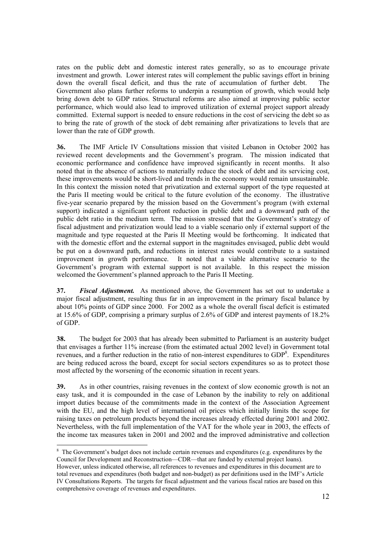rates on the public debt and domestic interest rates generally, so as to encourage private investment and growth. Lower interest rates will complement the public savings effort in brining down the overall fiscal deficit, and thus the rate of accumulation of further debt. The Government also plans further reforms to underpin a resumption of growth, which would help bring down debt to GDP ratios. Structural reforms are also aimed at improving public sector performance, which would also lead to improved utilization of external project support already committed. External support is needed to ensure reductions in the cost of servicing the debt so as to bring the rate of growth of the stock of debt remaining after privatizations to levels that are lower than the rate of GDP growth.

**36.** The IMF Article IV Consultations mission that visited Lebanon in October 2002 has reviewed recent developments and the Government's program. The mission indicated that economic performance and confidence have improved significantly in recent months. It also noted that in the absence of actions to materially reduce the stock of debt and its servicing cost, these improvements would be short-lived and trends in the economy would remain unsustainable. In this context the mission noted that privatization and external support of the type requested at the Paris II meeting would be critical to the future evolution of the economy. The illustrative five-year scenario prepared by the mission based on the Government's program (with external support) indicated a significant upfront reduction in public debt and a downward path of the public debt ratio in the medium term. The mission stressed that the Government's strategy of fiscal adjustment and privatization would lead to a viable scenario only if external support of the magnitude and type requested at the Paris II Meeting would be forthcoming. It indicated that with the domestic effort and the external support in the magnitudes envisaged, public debt would be put on a downward path, and reductions in interest rates would contribute to a sustained improvement in growth performance. It noted that a viable alternative scenario to the Government's program with external support is not available. In this respect the mission welcomed the Government's planned approach to the Paris II Meeting.

**37.** *Fiscal Adjustment.* As mentioned above, the Government has set out to undertake a major fiscal adjustment, resulting thus far in an improvement in the primary fiscal balance by about 10% points of GDP since 2000. For 2002 as a whole the overall fiscal deficit is estimated at 15.6% of GDP, comprising a primary surplus of 2.6% of GDP and interest payments of 18.2% of GDP.

**38.** The budget for 2003 that has already been submitted to Parliament is an austerity budget that envisages a further 11% increase (from the estimated actual 2002 level) in Government total revenues, and a further reduction in the ratio of non-interest expenditures to  $GDP<sup>8</sup>$ . Expenditures are being reduced across the board, except for social sectors expenditures so as to protect those most affected by the worsening of the economic situation in recent years.

**39.** As in other countries, raising revenues in the context of slow economic growth is not an easy task, and it is compounded in the case of Lebanon by the inability to rely on additional import duties because of the commitments made in the context of the Association Agreement with the EU, and the high level of international oil prices which initially limits the scope for raising taxes on petroleum products beyond the increases already effected during 2001 and 2002. Nevertheless, with the full implementation of the VAT for the whole year in 2003, the effects of the income tax measures taken in 2001 and 2002 and the improved administrative and collection

  $8 \text{ The Government's budget does not include certain revenues and expenditures (e.g., expenditures by the$ Council for Development and Reconstruction—CDR—that are funded by external project loans).

However, unless indicated otherwise, all references to revenues and expenditures in this document are to total revenues and expenditures (both budget and non-budget) as per definitions used in the IMF's Article IV Consultations Reports. The targets for fiscal adjustment and the various fiscal ratios are based on this comprehensive coverage of revenues and expenditures.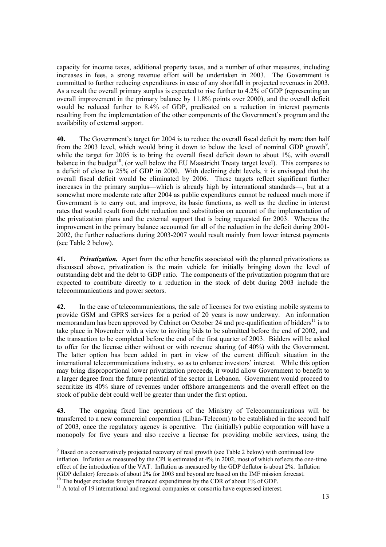capacity for income taxes, additional property taxes, and a number of other measures, including increases in fees, a strong revenue effort will be undertaken in 2003. The Government is committed to further reducing expenditures in case of any shortfall in projected revenues in 2003. As a result the overall primary surplus is expected to rise further to 4.2% of GDP (representing an overall improvement in the primary balance by 11.8% points over 2000), and the overall deficit would be reduced further to 8.4% of GDP, predicated on a reduction in interest payments resulting from the implementation of the other components of the Government's program and the availability of external support.

**40.** The Government's target for 2004 is to reduce the overall fiscal deficit by more than half from the 2003 level, which would bring it down to below the level of nominal GDP growth<sup>9</sup>, while the target for 2005 is to bring the overall fiscal deficit down to about 1%, with overall balance in the budget<sup>10</sup>, (or well below the EU Maastricht Treaty target level). This compares to a deficit of close to 25% of GDP in 2000. With declining debt levels, it is envisaged that the overall fiscal deficit would be eliminated by 2006. These targets reflect significant further increases in the primary surplus—which is already high by international standards—, but at a somewhat more moderate rate after 2004 as public expenditures cannot be reduced much more if Government is to carry out, and improve, its basic functions, as well as the decline in interest rates that would result from debt reduction and substitution on account of the implementation of the privatization plans and the external support that is being requested for 2003. Whereas the improvement in the primary balance accounted for all of the reduction in the deficit during 2001- 2002, the further reductions during 2003-2007 would result mainly from lower interest payments (see Table 2 below).

**41.** *Privatization.* Apart from the other benefits associated with the planned privatizations as discussed above, privatization is the main vehicle for initially bringing down the level of outstanding debt and the debt to GDP ratio. The components of the privatization program that are expected to contribute directly to a reduction in the stock of debt during 2003 include the telecommunications and power sectors.

**42.** In the case of telecommunications, the sale of licenses for two existing mobile systems to provide GSM and GPRS services for a period of 20 years is now underway. An information memorandum has been approved by Cabinet on October 24 and pre-qualification of bidders<sup>11</sup> is to take place in November with a view to inviting bids to be submitted before the end of 2002, and the transaction to be completed before the end of the first quarter of 2003. Bidders will be asked to offer for the license either without or with revenue sharing (of 40%) with the Government. The latter option has been added in part in view of the current difficult situation in the international telecommunications industry, so as to enhance investors' interest. While this option may bring disproportional lower privatization proceeds, it would allow Government to benefit to a larger degree from the future potential of the sector in Lebanon. Government would proceed to securitize its 40% share of revenues under offshore arrangements and the overall effect on the stock of public debt could well be greater than under the first option.

**43.** The ongoing fixed line operations of the Ministry of Telecommunications will be transferred to a new commercial corporation (Liban-Telecom) to be established in the second half of 2003, once the regulatory agency is operative. The (initially) public corporation will have a monopoly for five years and also receive a license for providing mobile services, using the

 $9^9$  Based on a conservatively projected recovery of real growth (see Table 2 below) with continued low inflation. Inflation as measured by the CPI is estimated at 4% in 2002, most of which reflects the one-time effect of the introduction of the VAT. Inflation as measured by the GDP deflator is about 2%. Inflation (GDP deflator) forecasts of about 2% for 2003 and beyond are based on the IMF mission forecast.

<sup>&</sup>lt;sup>10</sup> The budget excludes foreign financed expenditures by the CDR of about 1% of GDP.

 $11$  A total of 19 international and regional companies or consortia have expressed interest.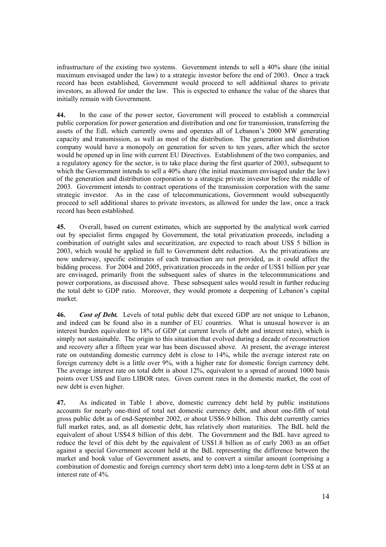infrastructure of the existing two systems. Government intends to sell a 40% share (the initial maximum envisaged under the law) to a strategic investor before the end of 2003. Once a track record has been established, Government would proceed to sell additional shares to private investors, as allowed for under the law. This is expected to enhance the value of the shares that initially remain with Government.

**44.** In the case of the power sector, Government will proceed to establish a commercial public corporation for power generation and distribution and one for transmission, transferring the assets of the EdL which currently owns and operates all of Lebanon's 2000 MW generating capacity and transmission, as well as most of the distribution. The generation and distribution company would have a monopoly on generation for seven to ten years, after which the sector would be opened up in line with current EU Directives. Establishment of the two companies, and a regulatory agency for the sector, is to take place during the first quarter of 2003, subsequent to which the Government intends to sell a 40% share (the initial maximum envisaged under the law) of the generation and distribution corporation to a strategic private investor before the middle of 2003. Government intends to contract operations of the transmission corporation with the same strategic investor. As in the case of telecommunications, Government would subsequently proceed to sell additional shares to private investors, as allowed for under the law, once a track record has been established.

**45.** Overall, based on current estimates, which are supported by the analytical work carried out by specialist firms engaged by Government, the total privatization proceeds, including a combination of outright sales and securitization, are expected to reach about US\$ 5 billion in 2003, which would be applied in full to Government debt reduction. As the privatizations are now underway, specific estimates of each transaction are not provided, as it could affect the bidding process. For 2004 and 2005, privatization proceeds in the order of US\$1 billion per year are envisaged, primarily from the subsequent sales of shares in the telecommunications and power corporations, as discussed above. These subsequent sales would result in further reducing the total debt to GDP ratio. Moreover, they would promote a deepening of Lebanon's capital market.

**46.** *Cost of Debt.* Levels of total public debt that exceed GDP are not unique to Lebanon, and indeed can be found also in a number of EU countries. What is unusual however is an interest burden equivalent to 18% of GDP (at current levels of debt and interest rates), which is simply not sustainable. The origin to this situation that evolved during a decade of reconstruction and recovery after a fifteen year war has been discussed above. At present, the average interest rate on outstanding domestic currency debt is close to 14%, while the average interest rate on foreign currency debt is a little over 9%, with a higher rate for domestic foreign currency debt. The average interest rate on total debt is about 12%, equivalent to a spread of around 1000 basis points over US\$ and Euro LIBOR rates. Given current rates in the domestic market, the cost of new debt is even higher.

**47.** As indicated in Table 1 above, domestic currency debt held by public institutions accounts for nearly one-third of total net domestic currency debt, and about one-fifth of total gross public debt as of end-September 2002, or about US\$6.9 billion. This debt currently carries full market rates, and, as all domestic debt, has relatively short maturities. The BdL held the equivalent of about US\$4.8 billion of this debt. The Government and the BdL have agreed to reduce the level of this debt by the equivalent of US\$1.8 billion as of early 2003 as an offset against a special Government account held at the BdL representing the difference between the market and book value of Government assets, and to convert a similar amount (comprising a combination of domestic and foreign currency short term debt) into a long-term debt in US\$ at an interest rate of 4%.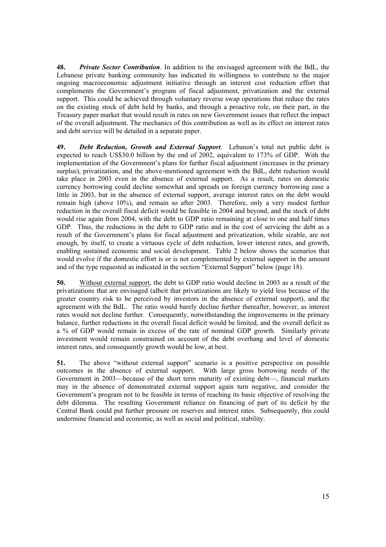**48.** *Private Sector Contribution*. In addition to the envisaged agreement with the BdL, the Lebanese private banking community has indicated its willingness to contribute to the major ongoing macroeconomic adjustment initiative through an interest cost reduction effort that complements the Government's program of fiscal adjustment, privatization and the external support. This could be achieved through voluntary reverse swap operations that reduce the rates on the existing stock of debt held by banks, and through a proactive role, on their part, in the Treasury paper market that would result in rates on new Government issues that reflect the impact of the overall adjustment. The mechanics of this contribution as well as its effect on interest rates and debt service will be detailed in a separate paper.

**49.** *Debt Reduction, Growth and External Support*. Lebanon's total net public debt is expected to reach US\$30.0 billion by the end of 2002, equivalent to 173% of GDP. With the implementation of the Government's plans for further fiscal adjustment (increases in the primary surplus), privatization, and the above-mentioned agreement with the BdL, debt reduction would take place in 2003 even in the absence of external support. As a result, rates on domestic currency borrowing could decline somewhat and spreads on foreign currency borrowing ease a little in 2003, but in the absence of external support, average interest rates on the debt would remain high (above 10%), and remain so after 2003. Therefore, only a very modest further reduction in the overall fiscal deficit would be feasible in 2004 and beyond, and the stock of debt would rise again from 2004, with the debt to GDP ratio remaining at close to one and half times GDP. Thus, the reductions in the debt to GDP ratio and in the cost of servicing the debt as a result of the Government's plans for fiscal adjustment and privatization, while sizable, are not enough, by itself, to create a virtuous cycle of debt reduction, lower interest rates, and growth, enabling sustained economic and social development. Table 2 below shows the scenarios that would evolve if the domestic effort is or is not complemented by external support in the amount and of the type requested as indicated in the section "External Support" below (page 18).

**50.** Without external support, the debt to GDP ratio would decline in 2003 as a result of the privatizations that are envisaged (albeit that privatizations are likely to yield less because of the greater country risk to be perceived by investors in the absence of external support), and the agreement with the BdL. The ratio would barely decline further thereafter, however, as interest rates would not decline further. Consequently, notwithstanding the improvements in the primary balance, further reductions in the overall fiscal deficit would be limited, and the overall deficit as a % of GDP would remain in excess of the rate of nominal GDP growth. Similarly private investment would remain constrained on account of the debt overhang and level of domestic interest rates, and consequently growth would be low, at best.

**51.** The above "without external support" scenario is a positive perspective on possible outcomes in the absence of external support. With large gross borrowing needs of the Government in 2003—because of the short term maturity of existing debt—, financial markets may in the absence of demonstrated external support again turn negative, and consider the Government's program not to be feasible in terms of reaching its basic objective of resolving the debt dilemma. The resulting Government reliance on financing of part of its deficit by the Central Bank could put further pressure on reserves and interest rates. Subsequently, this could undermine financial and economic, as well as social and political, stability.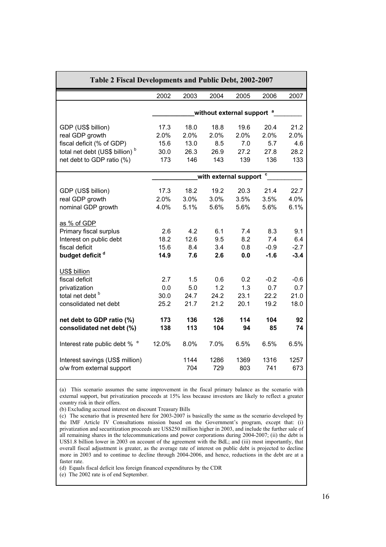| Table 2 Fiscal Developments and Public Debt, 2002-2007 |              |              |                                       |              |              |              |
|--------------------------------------------------------|--------------|--------------|---------------------------------------|--------------|--------------|--------------|
|                                                        | 2002         | 2003         | 2004                                  | 2005         | 2006         | 2007         |
|                                                        |              |              | without external support <sup>a</sup> |              |              |              |
| GDP (US\$ billion)                                     | 17.3<br>2.0% | 18.0<br>2.0% | 18.8<br>2.0%                          | 19.6<br>2.0% | 20.4<br>2.0% | 21.2<br>2.0% |
| real GDP growth<br>fiscal deficit (% of GDP)           | 15.6         | 13.0         | 8.5                                   | 7.0          | 5.7          | 4.6          |
| total net debt (US\$ billion) <sup>b</sup>             | 30.0         | 26.3         | 26.9                                  | 27.2         | 27.8         | 28.2         |
| net debt to GDP ratio (%)                              | 173          | 146          | 143                                   | 139          | 136          | 133          |
|                                                        |              |              |                                       |              | C            |              |
|                                                        |              |              | with external support                 |              |              |              |
| GDP (US\$ billion)                                     | 17.3         | 18.2         | 19.2                                  | 20.3         | 21.4         | 22.7         |
| real GDP growth                                        | 2.0%         | 3.0%         | 3.0%                                  | 3.5%         | 3.5%         | 4.0%         |
| nominal GDP growth                                     | 4.0%         | 5.1%         | 5.6%                                  | 5.6%         | 5.6%         | 6.1%         |
| as % of GDP                                            |              |              |                                       |              |              |              |
| Primary fiscal surplus                                 | 2.6          | 4.2          | 6.1                                   | 7.4          | 8.3          | 9.1          |
| Interest on public debt                                | 18.2         | 12.6         | 9.5                                   | 8.2          | 7.4          | 6.4          |
| fiscal deficit                                         | 15.6         | 8.4          | 3.4                                   | 0.8          | $-0.9$       | $-2.7$       |
| budget deficit d                                       | 14.9         | 7.6          | 2.6                                   | 0.0          | $-1.6$       | $-3.4$       |
| US\$ billion                                           |              |              |                                       |              |              |              |
| fiscal deficit                                         | 2.7          | 1.5          | 0.6                                   | 0.2          | $-0.2$       | $-0.6$       |
| privatization                                          | 0.0          | 5.0          | 1.2                                   | 1.3          | 0.7          | 0.7          |
| total net debt b                                       | 30.0         | 24.7         | 24.2                                  | 23.1         | 22.2         | 21.0         |
| consolidated net debt                                  | 25.2         | 21.7         | 21.2                                  | 20.1         | 19.2         | 18.0         |
| net debt to GDP ratio (%)                              | 173          | 136          | 126                                   | 114          | 104          | 92           |
| consolidated net debt (%)                              | 138          | 113          | 104                                   | 94           | 85           | 74           |
| Interest rate public debt % <sup>e</sup>               | 12.0%        | 8.0%         | 7.0%                                  | 6.5%         | 6.5%         | 6.5%         |
| Interest savings (US\$ million)                        |              | 1144         | 1286                                  | 1369         | 1316         | 1257         |
| o/w from external support                              |              | 704          | 729                                   | 803          | 741          | 673          |

(a) This scenario assumes the same improvement in the fiscal primary balance as the scenario with external support, but privatization proceeds at 15% less because investors are likely to reflect a greater country risk in their offers.

(b) Excluding accrued interest on discount Treasury Bills

(c) The scenario that is presented here for 2003-2007 is basically the same as the scenario developed by the IMF Article IV Consultations mission based on the Government's program, except that: (i) privatization and securitization proceeds are US\$250 million higher in 2003, and include the further sale of all remaining shares in the telecommunications and power corporations during 2004-2007; (ii) the debt is US\$1.8 billion lower in 2003 on account of the agreement with the BdL; and (iii) most importantly, that overall fiscal adjustment is greater, as the average rate of interest on public debt is projected to decline more in 2003 and to continue to decline through 2004-2006, and hence, reductions in the debt are at a faster rate.

(d) Equals fiscal deficit less foreign financed expenditures by the CDR

(e) The 2002 rate is of end September.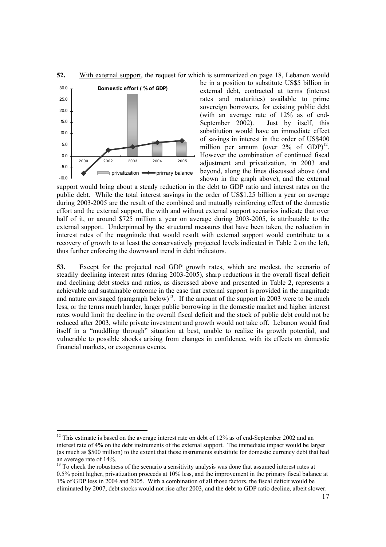

l

be in a position to substitute US\$5 billion in external debt, contracted at terms (interest rates and maturities) available to prime sovereign borrowers, for existing public debt (with an average rate of 12% as of end-September 2002). Just by itself, this substitution would have an immediate effect of savings in interest in the order of US\$400 million per annum (over  $2\%$  of  $GDP$ <sup>12</sup>. However the combination of continued fiscal adjustment and privatization, in 2003 and beyond, along the lines discussed above (and shown in the graph above), and the external

support would bring about a steady reduction in the debt to GDP ratio and interest rates on the public debt. While the total interest savings in the order of US\$1.25 billion a year on average during 2003-2005 are the result of the combined and mutually reinforcing effect of the domestic effort and the external support, the with and without external support scenarios indicate that over half of it, or around \$725 million a year on average during 2003-2005, is attributable to the external support. Underpinned by the structural measures that have been taken, the reduction in interest rates of the magnitude that would result with external support would contribute to a recovery of growth to at least the conservatively projected levels indicated in Table 2 on the left, thus further enforcing the downward trend in debt indicators.

**53.** Except for the projected real GDP growth rates, which are modest, the scenario of steadily declining interest rates (during 2003-2005), sharp reductions in the overall fiscal deficit and declining debt stocks and ratios, as discussed above and presented in Table 2, represents a achievable and sustainable outcome in the case that external support is provided in the magnitude and nature envisaged (paragraph below)<sup>13</sup>. If the amount of the support in 2003 were to be much less, or the terms much harder, larger public borrowing in the domestic market and higher interest rates would limit the decline in the overall fiscal deficit and the stock of public debt could not be reduced after 2003, while private investment and growth would not take off. Lebanon would find itself in a "muddling through" situation at best, unable to realize its growth potential, and vulnerable to possible shocks arising from changes in confidence, with its effects on domestic financial markets, or exogenous events.

<sup>&</sup>lt;sup>12</sup> This estimate is based on the average interest rate on debt of 12% as of end-September 2002 and an interest rate of 4% on the debt instruments of the external support. The immediate impact would be larger (as much as \$500 million) to the extent that these instruments substitute for domestic currency debt that had an average rate of 14%.

<sup>&</sup>lt;sup>13</sup> To check the robustness of the scenario a sensitivity analysis was done that assumed interest rates at 0.5% point higher, privatization proceeds at 10% less, and the improvement in the primary fiscal balance at 1% of GDP less in 2004 and 2005. With a combination of all those factors, the fiscal deficit would be eliminated by 2007, debt stocks would not rise after 2003, and the debt to GDP ratio decline, albeit slower.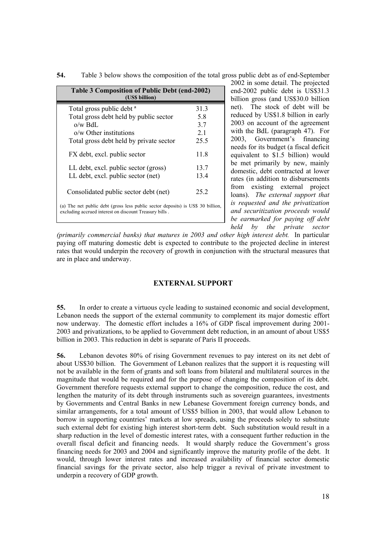| Table 3 Composition of Public Debt (end-2002)<br>(US\$ billion)                                                                           |      |  |  |  |
|-------------------------------------------------------------------------------------------------------------------------------------------|------|--|--|--|
| Total gross public debt <sup>a</sup>                                                                                                      | 31.3 |  |  |  |
| Total gross debt held by public sector                                                                                                    | 5.8  |  |  |  |
| $o/w$ BdL                                                                                                                                 | 3.7  |  |  |  |
| $o/w$ Other institutions                                                                                                                  | 21   |  |  |  |
| Total gross debt held by private sector                                                                                                   | 25.5 |  |  |  |
| FX debt, excl. public sector                                                                                                              | 11.8 |  |  |  |
| LL debt, excl. public sector (gross)                                                                                                      | 13.7 |  |  |  |
| LL debt, excl. public sector (net)                                                                                                        | 13.4 |  |  |  |
| Consolidated public sector debt (net)                                                                                                     | 25.2 |  |  |  |
| (a) The net public debt (gross less public sector deposits) is US\$ 30 billion,<br>excluding accrued interest on discount Treasury bills. |      |  |  |  |

**54.** Table 3 below shows the composition of the total gross public debt as of end-September

2002 in some detail. The projected end-2002 public debt is US\$31.3 billion gross (and US\$30.0 billion net). The stock of debt will be reduced by US\$1.8 billion in early 2003 on account of the agreement with the BdL (paragraph 47). For 2003, Government's financing needs for its budget (a fiscal deficit equivalent to \$1.5 billion) would be met primarily by new, mainly domestic, debt contracted at lower rates (in addition to disbursements from existing external project loans). *The external support that is requested and the privatization and securitization proceeds would be earmarked for paying off debt held by the private sector* 

*(primarily commercial banks) that matures in 2003 and other high interest debt.* In particular paying off maturing domestic debt is expected to contribute to the projected decline in interest rates that would underpin the recovery of growth in conjunction with the structural measures that are in place and underway.

## **EXTERNAL SUPPORT**

**55.** In order to create a virtuous cycle leading to sustained economic and social development, Lebanon needs the support of the external community to complement its major domestic effort now underway. The domestic effort includes a 16% of GDP fiscal improvement during 2001- 2003 and privatizations, to be applied to Government debt reduction, in an amount of about US\$5 billion in 2003. This reduction in debt is separate of Paris II proceeds.

**56.** Lebanon devotes 80% of rising Government revenues to pay interest on its net debt of about US\$30 billion. The Government of Lebanon realizes that the support it is requesting will not be available in the form of grants and soft loans from bilateral and multilateral sources in the magnitude that would be required and for the purpose of changing the composition of its debt. Government therefore requests external support to change the composition, reduce the cost, and lengthen the maturity of its debt through instruments such as sovereign guarantees, investments by Governments and Central Banks in new Lebanese Government foreign currency bonds, and similar arrangements, for a total amount of US\$5 billion in 2003, that would allow Lebanon to borrow in supporting countries' markets at low spreads, using the proceeds solely to substitute such external debt for existing high interest short-term debt. Such substitution would result in a sharp reduction in the level of domestic interest rates, with a consequent further reduction in the overall fiscal deficit and financing needs. It would sharply reduce the Government's gross financing needs for 2003 and 2004 and significantly improve the maturity profile of the debt. It would, through lower interest rates and increased availability of financial sector domestic financial savings for the private sector, also help trigger a revival of private investment to underpin a recovery of GDP growth.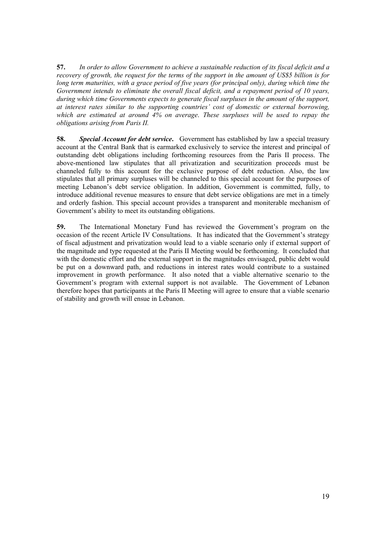**57.** *In order to allow Government to achieve a sustainable reduction of its fiscal deficit and a recovery of growth, the request for the terms of the support in the amount of US\$5 billion is for long term maturities, with a grace period of five years (for principal only), during which time the Government intends to eliminate the overall fiscal deficit, and a repayment period of 10 years, during which time Governments expects to generate fiscal surpluses in the amount of the support, at interest rates similar to the supporting countries' cost of domestic or external borrowing, which are estimated at around 4% on average*. *These surpluses will be used to repay the obligations arising from Paris II.* 

**58.** *Special Account for debt service***.** Government has established by law a special treasury account at the Central Bank that is earmarked exclusively to service the interest and principal of outstanding debt obligations including forthcoming resources from the Paris II process. The above-mentioned law stipulates that all privatization and securitization proceeds must be channeled fully to this account for the exclusive purpose of debt reduction. Also, the law stipulates that all primary surpluses will be channeled to this special account for the purposes of meeting Lebanon's debt service obligation. In addition, Government is committed, fully, to introduce additional revenue measures to ensure that debt service obligations are met in a timely and orderly fashion. This special account provides a transparent and moniterable mechanism of Government's ability to meet its outstanding obligations.

**59.** The International Monetary Fund has reviewed the Government's program on the occasion of the recent Article IV Consultations. It has indicated that the Government's strategy of fiscal adjustment and privatization would lead to a viable scenario only if external support of the magnitude and type requested at the Paris II Meeting would be forthcoming. It concluded that with the domestic effort and the external support in the magnitudes envisaged, public debt would be put on a downward path, and reductions in interest rates would contribute to a sustained improvement in growth performance. It also noted that a viable alternative scenario to the Government's program with external support is not available. The Government of Lebanon therefore hopes that participants at the Paris II Meeting will agree to ensure that a viable scenario of stability and growth will ensue in Lebanon.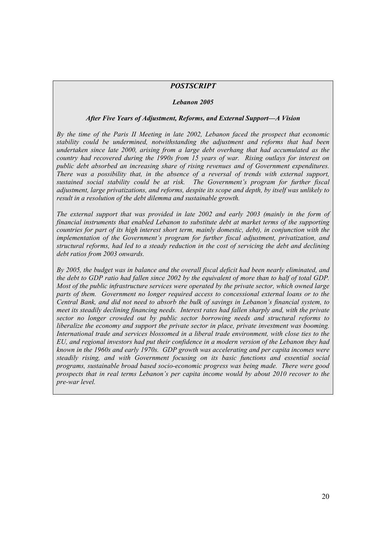#### *POSTSCRIPT*

#### *Lebanon 2005*

#### *After Five Years of Adjustment, Reforms, and External Support—A Vision*

*By the time of the Paris II Meeting in late 2002, Lebanon faced the prospect that economic stability could be undermined, notwithstanding the adjustment and reforms that had been undertaken since late 2000, arising from a large debt overhang that had accumulated as the country had recovered during the 1990s from 15 years of war. Rising outlays for interest on public debt absorbed an increasing share of rising revenues and of Government expenditures. There was a possibility that, in the absence of a reversal of trends with external support, sustained social stability could be at risk. The Government's program for further fiscal adjustment, large privatizations, and reforms, despite its scope and depth, by itself was unlikely to result in a resolution of the debt dilemma and sustainable growth.* 

*The external support that was provided in late 2002 and early 2003 (mainly in the form of financial instruments that enabled Lebanon to substitute debt at market terms of the supporting countries for part of its high interest short term, mainly domestic, debt), in conjunction with the implementation of the Government's program for further fiscal adjustment, privatization, and structural reforms, had led to a steady reduction in the cost of servicing the debt and declining debt ratios from 2003 onwards.* 

*By 2005, the budget was in balance and the overall fiscal deficit had been nearly eliminated, and the debt to GDP ratio had fallen since 2002 by the equivalent of more than to half of total GDP. Most of the public infrastructure services were operated by the private sector, which owned large parts of them. Government no longer required access to concessional external loans or to the Central Bank, and did not need to absorb the bulk of savings in Lebanon's financial system, to meet its steadily declining financing needs. Interest rates had fallen sharply and, with the private sector no longer crowded out by public sector borrowing needs and structural reforms to liberalize the economy and support the private sector in place, private investment was booming. International trade and services blossomed in a liberal trade environment, with close ties to the EU, and regional investors had put their confidence in a modern version of the Lebanon they had known in the 1960s and early 1970s. GDP growth was accelerating and per capita incomes were steadily rising, and with Government focusing on its basic functions and essential social programs, sustainable broad based socio-economic progress was being made. There were good prospects that in real terms Lebanon's per capita income would by about 2010 recover to the pre-war level.*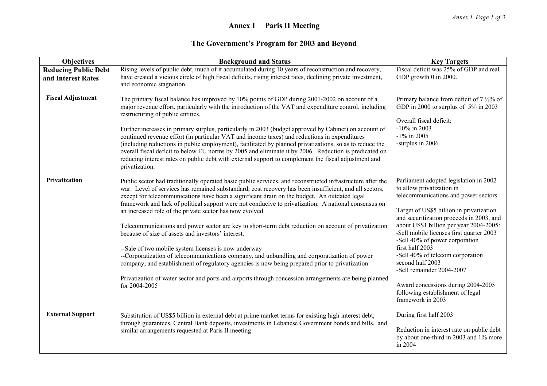# **Annex I Paris II Meeting**

# **The Government's Program for 2003 and Beyond**

| <b>Objectives</b>                                 | <b>Background and Status</b>                                                                                                                                                                                                                                                                                                                                                                                                                                                                                                                                                                                                                                                                                                                                                                                                                                                                                                                                                                                                                | <b>Key Targets</b>                                                                                                                                                                                                                                                                                                                                                                                                                                                                                                                  |
|---------------------------------------------------|---------------------------------------------------------------------------------------------------------------------------------------------------------------------------------------------------------------------------------------------------------------------------------------------------------------------------------------------------------------------------------------------------------------------------------------------------------------------------------------------------------------------------------------------------------------------------------------------------------------------------------------------------------------------------------------------------------------------------------------------------------------------------------------------------------------------------------------------------------------------------------------------------------------------------------------------------------------------------------------------------------------------------------------------|-------------------------------------------------------------------------------------------------------------------------------------------------------------------------------------------------------------------------------------------------------------------------------------------------------------------------------------------------------------------------------------------------------------------------------------------------------------------------------------------------------------------------------------|
| <b>Reducing Public Debt</b><br>and Interest Rates | Rising levels of public debt, much of it accumulated during 10 years of reconstruction and recovery,<br>have created a vicious circle of high fiscal deficits, rising interest rates, declining private investment,<br>and economic stagnation.                                                                                                                                                                                                                                                                                                                                                                                                                                                                                                                                                                                                                                                                                                                                                                                             | Fiscal deficit was 25% of GDP and real<br>GDP growth 0 in 2000.                                                                                                                                                                                                                                                                                                                                                                                                                                                                     |
| <b>Fiscal Adjustment</b>                          | The primary fiscal balance has improved by 10% points of GDP during 2001-2002 on account of a<br>major revenue effort, particularly with the introduction of the VAT and expenditure control, including<br>restructuring of public entities.<br>Further increases in primary surplus, particularly in 2003 (budget approved by Cabinet) on account of<br>continued revenue effort (in particular VAT and income taxes) and reductions in expenditures<br>(including reductions in public employment), facilitated by planned privatizations, so as to reduce the<br>overall fiscal deficit to below EU norms by 2005 and eliminate it by 2006. Reduction is predicated on<br>reducing interest rates on public debt with external support to complement the fiscal adjustment and<br>privatization.                                                                                                                                                                                                                                         | Primary balance from deficit of $7\frac{1}{2}\%$ of<br>GDP in 2000 to surplus of 5% in 2003<br>Overall fiscal deficit:<br>$-10\%$ in 2003<br>$-1\%$ in 2005<br>-surplus in 2006                                                                                                                                                                                                                                                                                                                                                     |
| Privatization                                     | Public sector had traditionally operated basic public services, and reconstructed infrastructure after the<br>war. Level of services has remained substandard, cost recovery has been insufficient, and all sectors,<br>except for telecommunications have been a significant drain on the budget. An outdated legal<br>framework and lack of political support were not conducive to privatization. A national consensus on<br>an increased role of the private sector has now evolved.<br>Telecommunications and power sector are key to short-term debt reduction on account of privatization<br>because of size of assets and investors' interest.<br>--Sale of two mobile system licenses is now underway<br>--Corporatization of telecommunications company, and unbundling and corporatization of power<br>company, and establishment of regulatory agencies is now being prepared prior to privatization<br>Privatization of water sector and ports and airports through concession arrangements are being planned<br>for 2004-2005 | Parliament adopted legislation in 2002<br>to allow privatization in<br>telecommunications and power sectors<br>Target of US\$5 billion in privatization<br>and securitization proceeds in 2003, and<br>about US\$1 billion per year 2004-2005:<br>-Sell mobile licenses first quarter 2003<br>-Sell 40% of power corporation<br>first half 2003<br>-Sell 40% of telecom corporation<br>second half 2003<br>-Sell remainder 2004-2007<br>Award concessions during 2004-2005<br>following establishment of legal<br>framework in 2003 |
| <b>External Support</b>                           | Substitution of US\$5 billion in external debt at prime market terms for existing high interest debt,<br>through guarantees, Central Bank deposits, investments in Lebanese Government bonds and bills, and<br>similar arrangements requested at Paris II meeting                                                                                                                                                                                                                                                                                                                                                                                                                                                                                                                                                                                                                                                                                                                                                                           | During first half 2003<br>Reduction in interest rate on public debt<br>by about one-third in 2003 and 1% more<br>in 2004                                                                                                                                                                                                                                                                                                                                                                                                            |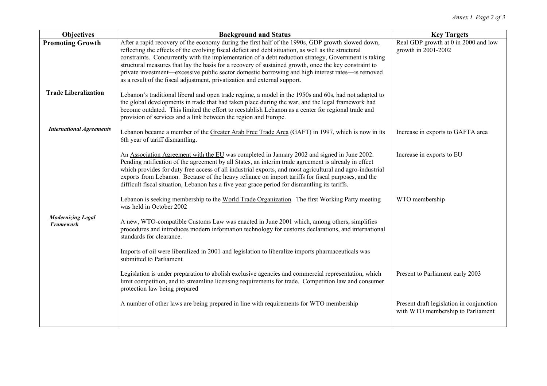| <b>Objectives</b>                            | <b>Background and Status</b>                                                                                                                                                                                                                                                                                                                                                                                                                                                                                                                                                                               | <b>Key Targets</b>                                                            |
|----------------------------------------------|------------------------------------------------------------------------------------------------------------------------------------------------------------------------------------------------------------------------------------------------------------------------------------------------------------------------------------------------------------------------------------------------------------------------------------------------------------------------------------------------------------------------------------------------------------------------------------------------------------|-------------------------------------------------------------------------------|
| <b>Promoting Growth</b>                      | After a rapid recovery of the economy during the first half of the 1990s, GDP growth slowed down,<br>reflecting the effects of the evolving fiscal deficit and debt situation, as well as the structural<br>constraints. Concurrently with the implementation of a debt reduction strategy, Government is taking<br>structural measures that lay the basis for a recovery of sustained growth, once the key constraint to<br>private investment—excessive public sector domestic borrowing and high interest rates—is removed<br>as a result of the fiscal adjustment, privatization and external support. | Real GDP growth at 0 in 2000 and low<br>growth in 2001-2002                   |
| <b>Trade Liberalization</b>                  | Lebanon's traditional liberal and open trade regime, a model in the 1950s and 60s, had not adapted to<br>the global developments in trade that had taken place during the war, and the legal framework had<br>become outdated. This limited the effort to reestablish Lebanon as a center for regional trade and<br>provision of services and a link between the region and Europe.                                                                                                                                                                                                                        |                                                                               |
| <b>International Agreements</b>              | Lebanon became a member of the Greater Arab Free Trade Area (GAFT) in 1997, which is now in its<br>6th year of tariff dismantling.                                                                                                                                                                                                                                                                                                                                                                                                                                                                         | Increase in exports to GAFTA area                                             |
|                                              | An Association Agreement with the EU was completed in January 2002 and signed in June 2002.<br>Pending ratification of the agreement by all States, an interim trade agreement is already in effect<br>which provides for duty free access of all industrial exports, and most agricultural and agro-industrial<br>exports from Lebanon. Because of the heavy reliance on import tariffs for fiscal purposes, and the<br>difficult fiscal situation, Lebanon has a five year grace period for dismantling its tariffs.                                                                                     | Increase in exports to EU                                                     |
|                                              | Lebanon is seeking membership to the World Trade Organization. The first Working Party meeting<br>was held in October 2002                                                                                                                                                                                                                                                                                                                                                                                                                                                                                 | WTO membership                                                                |
| <b>Modernizing Legal</b><br><b>Framework</b> | A new, WTO-compatible Customs Law was enacted in June 2001 which, among others, simplifies<br>procedures and introduces modern information technology for customs declarations, and international<br>standards for clearance.                                                                                                                                                                                                                                                                                                                                                                              |                                                                               |
|                                              | Imports of oil were liberalized in 2001 and legislation to liberalize imports pharmaceuticals was<br>submitted to Parliament                                                                                                                                                                                                                                                                                                                                                                                                                                                                               |                                                                               |
|                                              | Legislation is under preparation to abolish exclusive agencies and commercial representation, which<br>limit competition, and to streamline licensing requirements for trade. Competition law and consumer<br>protection law being prepared                                                                                                                                                                                                                                                                                                                                                                | Present to Parliament early 2003                                              |
|                                              | A number of other laws are being prepared in line with requirements for WTO membership                                                                                                                                                                                                                                                                                                                                                                                                                                                                                                                     | Present draft legislation in conjunction<br>with WTO membership to Parliament |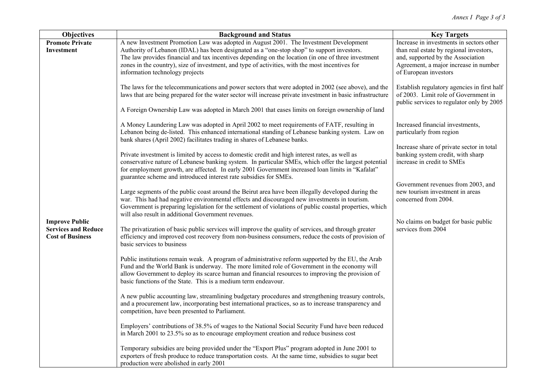| <b>Objectives</b>                                     | <b>Background and Status</b>                                                                                                                                                                                                                                                                                                                                             | <b>Key Targets</b>                                                                  |
|-------------------------------------------------------|--------------------------------------------------------------------------------------------------------------------------------------------------------------------------------------------------------------------------------------------------------------------------------------------------------------------------------------------------------------------------|-------------------------------------------------------------------------------------|
| <b>Promote Private</b>                                | A new Investment Promotion Law was adopted in August 2001. The Investment Development                                                                                                                                                                                                                                                                                    | Increase in investments in sectors other                                            |
| Investment                                            | Authority of Lebanon (IDAL) has been designated as a "one-stop shop" to support investors.<br>The law provides financial and tax incentives depending on the location (in one of three investment                                                                                                                                                                        | than real estate by regional investors,<br>and, supported by the Association        |
|                                                       | zones in the country), size of investment, and type of activities, with the most incentives for                                                                                                                                                                                                                                                                          | Agreement, a major increase in number                                               |
|                                                       | information technology projects                                                                                                                                                                                                                                                                                                                                          | of European investors                                                               |
|                                                       |                                                                                                                                                                                                                                                                                                                                                                          |                                                                                     |
|                                                       | The laws for the telecommunications and power sectors that were adopted in 2002 (see above), and the<br>laws that are being prepared for the water sector will increase private investment in basic infrastructure                                                                                                                                                       | Establish regulatory agencies in first half<br>of 2003. Limit role of Government in |
|                                                       |                                                                                                                                                                                                                                                                                                                                                                          | public services to regulator only by 2005                                           |
|                                                       | A Foreign Ownership Law was adopted in March 2001 that eases limits on foreign ownership of land                                                                                                                                                                                                                                                                         |                                                                                     |
|                                                       | A Money Laundering Law was adopted in April 2002 to meet requirements of FATF, resulting in<br>Lebanon being de-listed. This enhanced international standing of Lebanese banking system. Law on<br>bank shares (April 2002) facilitates trading in shares of Lebanese banks.                                                                                             | Increased financial investments,<br>particularly from region                        |
|                                                       |                                                                                                                                                                                                                                                                                                                                                                          | Increase share of private sector in total                                           |
|                                                       | Private investment is limited by access to domestic credit and high interest rates, as well as<br>conservative nature of Lebanese banking system. In particular SMEs, which offer the largest potential<br>for employment growth, are affected. In early 2001 Government increased loan limits in "Kafalat"                                                              | banking system credit, with sharp<br>increase in credit to SMEs                     |
|                                                       | guarantee scheme and introduced interest rate subsidies for SMEs.                                                                                                                                                                                                                                                                                                        | Government revenues from 2003, and                                                  |
|                                                       | Large segments of the public coast around the Beirut area have been illegally developed during the<br>war. This had had negative environmental effects and discouraged new investments in tourism.<br>Government is preparing legislation for the settlement of violations of public coastal properties, which<br>will also result in additional Government revenues.    | new tourism investment in areas<br>concerned from 2004.                             |
| <b>Improve Public</b>                                 |                                                                                                                                                                                                                                                                                                                                                                          | No claims on budget for basic public                                                |
| <b>Services and Reduce</b><br><b>Cost of Business</b> | The privatization of basic public services will improve the quality of services, and through greater<br>efficiency and improved cost recovery from non-business consumers, reduce the costs of provision of<br>basic services to business                                                                                                                                | services from 2004                                                                  |
|                                                       | Public institutions remain weak. A program of administrative reform supported by the EU, the Arab<br>Fund and the World Bank is underway. The more limited role of Government in the economy will<br>allow Government to deploy its scarce human and financial resources to improving the provision of<br>basic functions of the State. This is a medium term endeavour. |                                                                                     |
|                                                       | A new public accounting law, streamlining budgetary procedures and strengthening treasury controls,<br>and a procurement law, incorporating best international practices, so as to increase transparency and<br>competition, have been presented to Parliament.                                                                                                          |                                                                                     |
|                                                       | Employers' contributions of 38.5% of wages to the National Social Security Fund have been reduced<br>in March 2001 to 23.5% so as to encourage employment creation and reduce business cost                                                                                                                                                                              |                                                                                     |
|                                                       | Temporary subsidies are being provided under the "Export Plus" program adopted in June 2001 to<br>exporters of fresh produce to reduce transportation costs. At the same time, subsidies to sugar beet<br>production were abolished in early 2001                                                                                                                        |                                                                                     |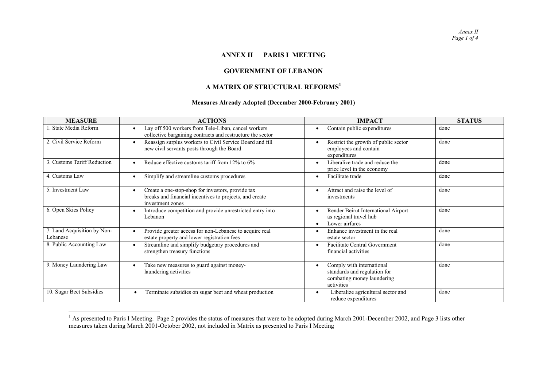*Annex II Page 1 of 4* 

#### **ANNEX II PARIS I MEETING**

#### **GOVERNMENT OF LEBANON**

## **A MATRIX OF STRUCTURAL REFORMS<sup>1</sup>**

#### **Measures Already Adopted (December 2000-February 2001)**

| <b>MEASURE</b>                          | <b>ACTIONS</b>                                                                                                                                | <b>IMPACT</b>                                                                                                      | <b>STATUS</b> |
|-----------------------------------------|-----------------------------------------------------------------------------------------------------------------------------------------------|--------------------------------------------------------------------------------------------------------------------|---------------|
| 1. State Media Reform                   | Lay off 500 workers from Tele-Liban, cancel workers<br>collective bargaining contracts and restructure the sector                             | Contain public expenditures<br>$\bullet$                                                                           | done          |
| 2. Civil Service Reform                 | Reassign surplus workers to Civil Service Board and fill<br>new civil servants posts through the Board                                        | Restrict the growth of public sector<br>$\bullet$<br>employees and contain<br>expenditures                         | done          |
| 3. Customs Tariff Reduction             | Reduce effective customs tariff from 12% to 6%<br>$\bullet$                                                                                   | Liberalize trade and reduce the<br>$\bullet$<br>price level in the economy                                         | done          |
| 4. Customs Law                          | Simplify and streamline customs procedures                                                                                                    | Facilitate trade<br>$\bullet$                                                                                      | done          |
| 5. Investment Law                       | Create a one-stop-shop for investors, provide tax<br>$\bullet$<br>breaks and financial incentives to projects, and create<br>investment zones | Attract and raise the level of<br>$\bullet$<br>investments                                                         | done          |
| 6. Open Skies Policy                    | Introduce competition and provide unrestricted entry into<br>Lebanon                                                                          | Render Beirut International Airport<br>$\bullet$<br>as regional travel hub<br>Lower airfares<br>$\bullet$          | done          |
| 7. Land Acquisition by Non-<br>Lebanese | Provide greater access for non-Lebanese to acquire real<br>estate property and lower registration fees                                        | Enhance investment in the real<br>$\bullet$<br>estate sector                                                       | done          |
| 8. Public Accounting Law                | Streamline and simplify budgetary procedures and<br>strengthen treasury functions                                                             | <b>Facilitate Central Government</b><br>$\bullet$<br>financial activities                                          | done          |
| 9. Money Laundering Law                 | Take new measures to guard against money-<br>$\bullet$<br>laundering activities                                                               | Comply with international<br>$\bullet$<br>standards and regulation for<br>combating money laundering<br>activities | done          |
| 10. Sugar Beet Subsidies                | Terminate subsidies on sugar beet and wheat production                                                                                        | Liberalize agricultural sector and<br>$\bullet$<br>reduce expenditures                                             | done          |

<sup>&</sup>lt;sup>1</sup> As presented to Paris I Meeting. Page 2 provides the status of measures that were to be adopted during March 2001-December 2002, and Page 3 lists other measures taken during March 2001-October 2002, not included in Matrix as presented to Paris I Meeting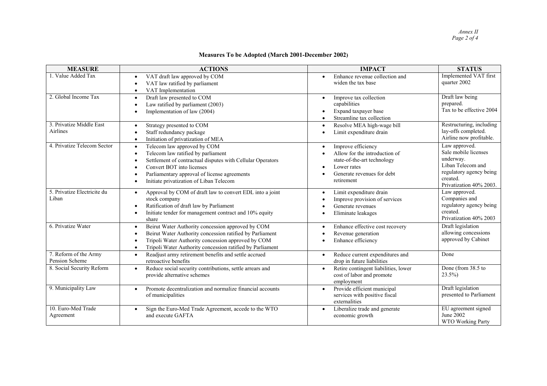|  |  |  | <b>Measures To be Adopted (March 2001-December 2002)</b> |  |
|--|--|--|----------------------------------------------------------|--|
|--|--|--|----------------------------------------------------------|--|

| <b>MEASURE</b>                          | <b>ACTIONS</b>                                                                                                                                                                                                                                                                                              | <b>IMPACT</b>                                                                                                                                 | <b>STATUS</b>                                                                                                                             |
|-----------------------------------------|-------------------------------------------------------------------------------------------------------------------------------------------------------------------------------------------------------------------------------------------------------------------------------------------------------------|-----------------------------------------------------------------------------------------------------------------------------------------------|-------------------------------------------------------------------------------------------------------------------------------------------|
| 1. Value Added Tax                      | VAT draft law approved by COM<br>$\bullet$<br>VAT law ratified by parliament<br>$\bullet$<br>VAT Implementation<br>$\bullet$                                                                                                                                                                                | Enhance revenue collection and<br>widen the tax base                                                                                          | Implemented VAT first<br>quarter 2002                                                                                                     |
| 2. Global Income Tax                    | Draft law presented to COM<br>$\bullet$<br>Law ratified by parliament (2003)<br>$\bullet$<br>Implementation of law (2004)<br>$\bullet$                                                                                                                                                                      | Improve tax collection<br>$\bullet$<br>capabilities<br>Expand taxpayer base<br>Streamline tax collection                                      | Draft law being<br>prepared.<br>Tax to be effective 2004                                                                                  |
| 3. Privatize Middle East<br>Airlines    | Strategy presented to COM<br>$\bullet$<br>Staff redundancy package<br>Initiation of privatization of MEA<br>$\bullet$                                                                                                                                                                                       | Resolve MEA high-wage bill<br>$\bullet$<br>Limit expenditure drain                                                                            | Restructuring, including<br>lay-offs completed.<br>Airline now profitable.                                                                |
| 4. Privatize Telecom Sector             | Telecom law approved by COM<br>$\bullet$<br>Telecom law ratified by parliament<br>$\bullet$<br>Settlement of contractual disputes with Cellular Operators<br>$\bullet$<br>Convert BOT into licenses<br>$\bullet$<br>Parliamentary approval of license agreements<br>Initiate privatization of Liban Telecom | Improve efficiency<br>Allow for the introduction of<br>state-of-the-art technology<br>Lower rates<br>Generate revenues for debt<br>retirement | Law approved.<br>Sale mobile licenses<br>underway.<br>Liban Telecom and<br>regulatory agency being<br>created.<br>Privatization 40% 2003. |
| 5. Privatize Electricite du<br>Liban    | Approval by COM of draft law to convert EDL into a joint<br>$\bullet$<br>stock company<br>Ratification of draft law by Parliament<br>Initiate tender for management contract and 10% equity<br>share                                                                                                        | Limit expenditure drain<br>Improve provision of services<br>Generate revenues<br>Eliminate leakages                                           | Law approved.<br>Companies and<br>regulatory agency being<br>created.<br>Privatization 40% 2003                                           |
| 6. Privatize Water                      | Beirut Water Authority concession approved by COM<br>$\bullet$<br>Beirut Water Authority concession ratified by Parliament<br>Tripoli Water Authority concession approved by COM<br>Tripoli Water Authority concession ratified by Parliament<br>$\bullet$                                                  | Enhance effective cost recovery<br>Revenue generation<br>Enhance efficiency                                                                   | Draft legislation<br>allowing concessions<br>approved by Cabinet                                                                          |
| 7. Reform of the Army<br>Pension Scheme | Readjust army retirement benefits and settle accrued<br>$\bullet$<br>retroactive benefits                                                                                                                                                                                                                   | Reduce current expenditures and<br>$\bullet$<br>drop in future liabilities                                                                    | Done                                                                                                                                      |
| 8. Social Security Reform               | Reduce social security contributions, settle arrears and<br>$\bullet$<br>provide alternative schemes                                                                                                                                                                                                        | Retire contingent liabilities, lower<br>cost of labor and promote<br>employment                                                               | Done (from 38.5 to<br>$23.5\%$                                                                                                            |
| 9. Municipality Law                     | Promote decentralization and normalize financial accounts<br>$\bullet$<br>of municipalities                                                                                                                                                                                                                 | Provide efficient municipal<br>services with positive fiscal<br>externalities                                                                 | Draft legislation<br>presented to Parliament                                                                                              |
| 10. Euro-Med Trade<br>Agreement         | Sign the Euro-Med Trade Agreement, accede to the WTO<br>and execute GAFTA                                                                                                                                                                                                                                   | Liberalize trade and generate<br>$\bullet$<br>economic growth                                                                                 | EU agreement signed<br>June 2002<br><b>WTO Working Party</b>                                                                              |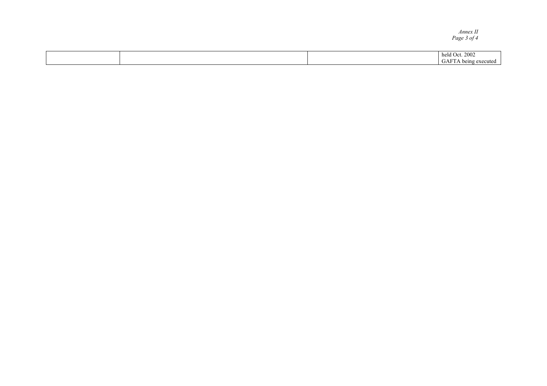*Annex II Page 3 of 4*